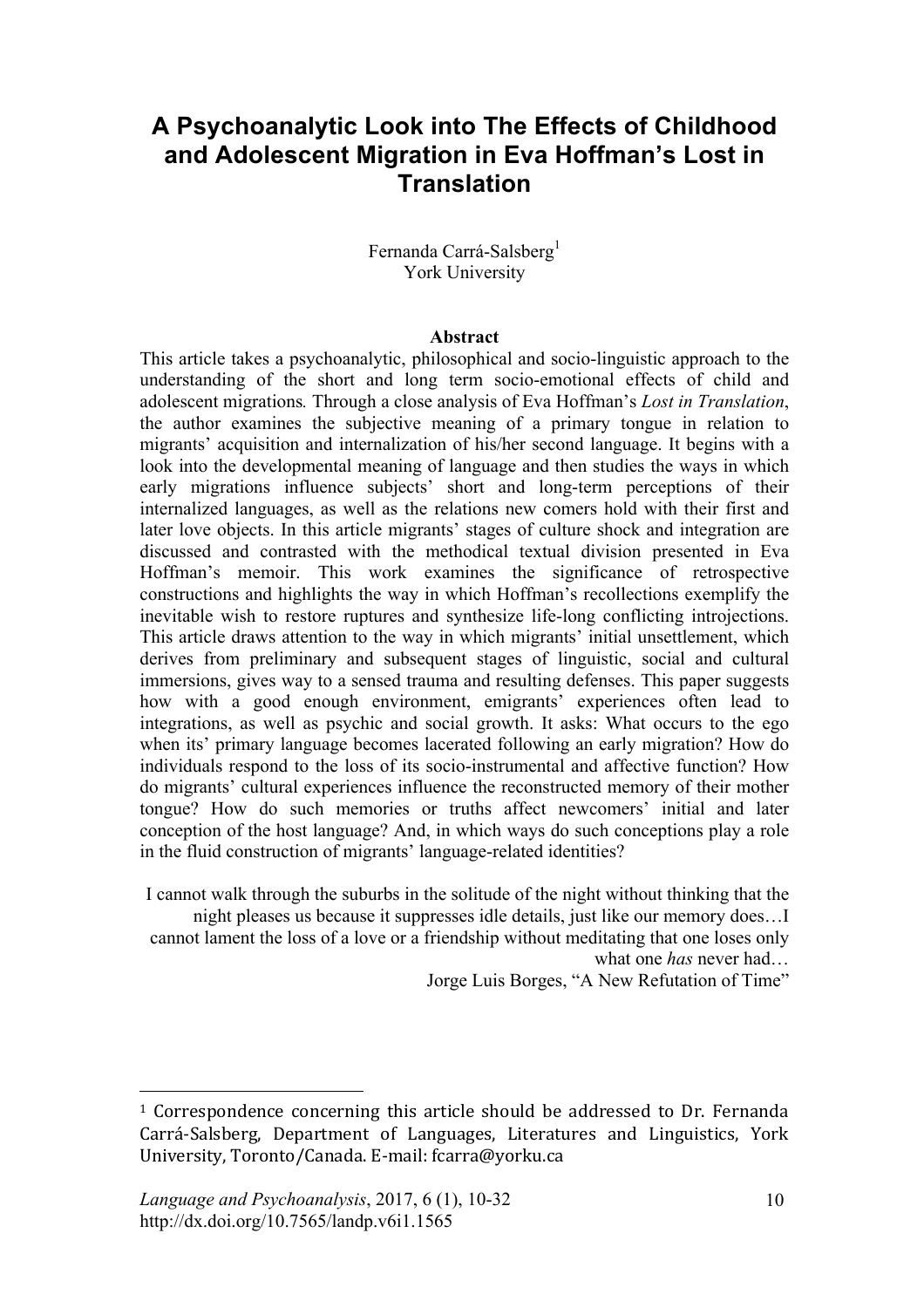# **A Psychoanalytic Look into The Effects of Childhood and Adolescent Migration in Eva Hoffman's Lost in Translation**

Fernanda Carrá-Salsberg<sup>1</sup> York University

#### **Abstract**

This article takes a psychoanalytic, philosophical and socio-linguistic approach to the understanding of the short and long term socio-emotional effects of child and adolescent migrations*.* Through a close analysis of Eva Hoffman's *Lost in Translation*, the author examines the subjective meaning of a primary tongue in relation to migrants' acquisition and internalization of his/her second language. It begins with a look into the developmental meaning of language and then studies the ways in which early migrations influence subjects' short and long-term perceptions of their internalized languages, as well as the relations new comers hold with their first and later love objects. In this article migrants' stages of culture shock and integration are discussed and contrasted with the methodical textual division presented in Eva Hoffman's memoir. This work examines the significance of retrospective constructions and highlights the way in which Hoffman's recollections exemplify the inevitable wish to restore ruptures and synthesize life-long conflicting introjections. This article draws attention to the way in which migrants' initial unsettlement, which derives from preliminary and subsequent stages of linguistic, social and cultural immersions, gives way to a sensed trauma and resulting defenses. This paper suggests how with a good enough environment, emigrants' experiences often lead to integrations, as well as psychic and social growth. It asks: What occurs to the ego when its' primary language becomes lacerated following an early migration? How do individuals respond to the loss of its socio-instrumental and affective function? How do migrants' cultural experiences influence the reconstructed memory of their mother tongue? How do such memories or truths affect newcomers' initial and later conception of the host language? And, in which ways do such conceptions play a role in the fluid construction of migrants' language-related identities?

I cannot walk through the suburbs in the solitude of the night without thinking that the night pleases us because it suppresses idle details, just like our memory does…I cannot lament the loss of a love or a friendship without meditating that one loses only what one *has* never had…

Jorge Luis Borges, "A New Refutation of Time"

 $1$  Correspondence concerning this article should be addressed to Dr. Fernanda Carrá-Salsberg, Department of Languages, Literatures and Linguistics, York University, Toronto/Canada. E-mail: fcarra@yorku.ca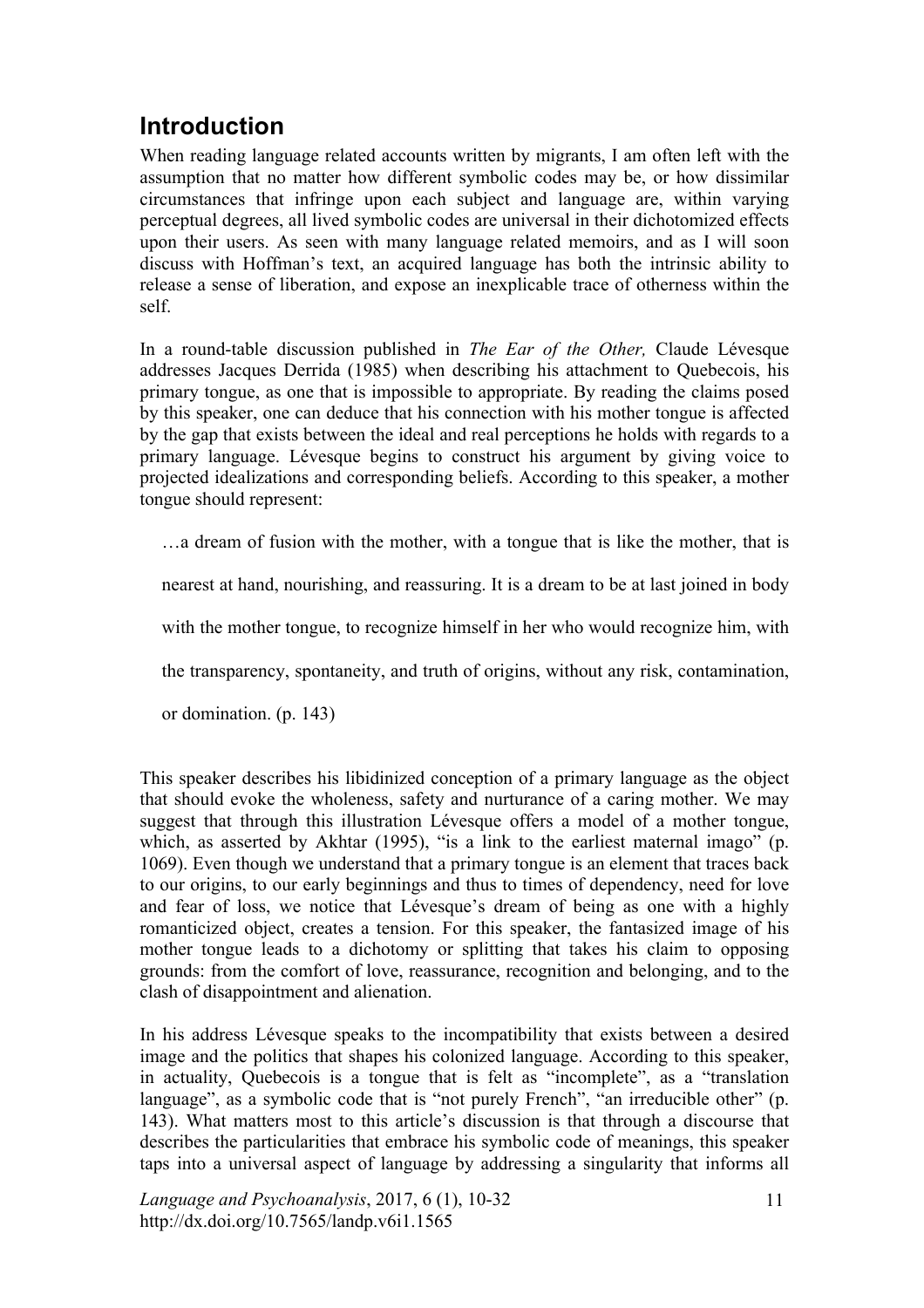# **Introduction**

When reading language related accounts written by migrants, I am often left with the assumption that no matter how different symbolic codes may be, or how dissimilar circumstances that infringe upon each subject and language are, within varying perceptual degrees, all lived symbolic codes are universal in their dichotomized effects upon their users. As seen with many language related memoirs, and as I will soon discuss with Hoffman's text, an acquired language has both the intrinsic ability to release a sense of liberation, and expose an inexplicable trace of otherness within the self.

In a round-table discussion published in *The Ear of the Other,* Claude Lévesque addresses Jacques Derrida (1985) when describing his attachment to Quebecois, his primary tongue, as one that is impossible to appropriate. By reading the claims posed by this speaker, one can deduce that his connection with his mother tongue is affected by the gap that exists between the ideal and real perceptions he holds with regards to a primary language. Lévesque begins to construct his argument by giving voice to projected idealizations and corresponding beliefs. According to this speaker, a mother tongue should represent:

…a dream of fusion with the mother, with a tongue that is like the mother, that is

nearest at hand, nourishing, and reassuring. It is a dream to be at last joined in body

with the mother tongue, to recognize himself in her who would recognize him, with

the transparency, spontaneity, and truth of origins, without any risk, contamination,

or domination. (p. 143)

This speaker describes his libidinized conception of a primary language as the object that should evoke the wholeness, safety and nurturance of a caring mother. We may suggest that through this illustration Lévesque offers a model of a mother tongue, which, as asserted by Akhtar (1995), "is a link to the earliest maternal imago" (p. 1069). Even though we understand that a primary tongue is an element that traces back to our origins, to our early beginnings and thus to times of dependency, need for love and fear of loss, we notice that Lévesque's dream of being as one with a highly romanticized object, creates a tension. For this speaker, the fantasized image of his mother tongue leads to a dichotomy or splitting that takes his claim to opposing grounds: from the comfort of love, reassurance, recognition and belonging, and to the clash of disappointment and alienation.

In his address Lévesque speaks to the incompatibility that exists between a desired image and the politics that shapes his colonized language. According to this speaker, in actuality, Quebecois is a tongue that is felt as "incomplete", as a "translation language", as a symbolic code that is "not purely French", "an irreducible other" (p. 143). What matters most to this article's discussion is that through a discourse that describes the particularities that embrace his symbolic code of meanings, this speaker taps into a universal aspect of language by addressing a singularity that informs all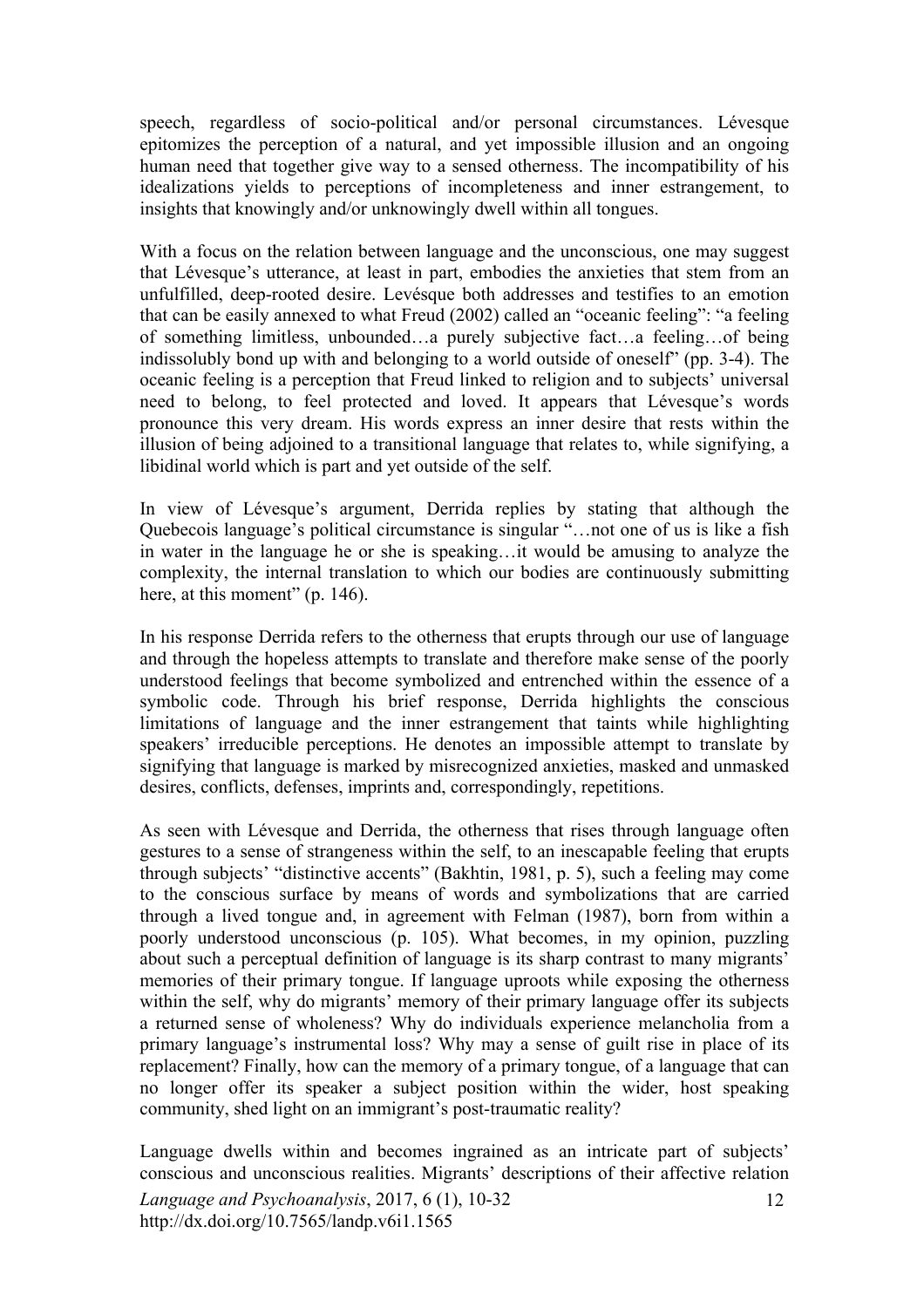speech, regardless of socio-political and/or personal circumstances. Lévesque epitomizes the perception of a natural, and yet impossible illusion and an ongoing human need that together give way to a sensed otherness. The incompatibility of his idealizations yields to perceptions of incompleteness and inner estrangement, to insights that knowingly and/or unknowingly dwell within all tongues.

With a focus on the relation between language and the unconscious, one may suggest that Lévesque's utterance, at least in part, embodies the anxieties that stem from an unfulfilled, deep-rooted desire. Levésque both addresses and testifies to an emotion that can be easily annexed to what Freud (2002) called an "oceanic feeling": "a feeling of something limitless, unbounded…a purely subjective fact…a feeling…of being indissolubly bond up with and belonging to a world outside of oneself" (pp. 3-4). The oceanic feeling is a perception that Freud linked to religion and to subjects' universal need to belong, to feel protected and loved. It appears that Lévesque's words pronounce this very dream. His words express an inner desire that rests within the illusion of being adjoined to a transitional language that relates to, while signifying, a libidinal world which is part and yet outside of the self.

In view of Lévesque's argument, Derrida replies by stating that although the Quebecois language's political circumstance is singular "…not one of us is like a fish in water in the language he or she is speaking…it would be amusing to analyze the complexity, the internal translation to which our bodies are continuously submitting here, at this moment" (p. 146).

In his response Derrida refers to the otherness that erupts through our use of language and through the hopeless attempts to translate and therefore make sense of the poorly understood feelings that become symbolized and entrenched within the essence of a symbolic code. Through his brief response, Derrida highlights the conscious limitations of language and the inner estrangement that taints while highlighting speakers' irreducible perceptions. He denotes an impossible attempt to translate by signifying that language is marked by misrecognized anxieties, masked and unmasked desires, conflicts, defenses, imprints and, correspondingly, repetitions.

As seen with Lévesque and Derrida, the otherness that rises through language often gestures to a sense of strangeness within the self, to an inescapable feeling that erupts through subjects' "distinctive accents" (Bakhtin, 1981, p. 5), such a feeling may come to the conscious surface by means of words and symbolizations that are carried through a lived tongue and, in agreement with Felman (1987), born from within a poorly understood unconscious (p. 105). What becomes, in my opinion, puzzling about such a perceptual definition of language is its sharp contrast to many migrants' memories of their primary tongue. If language uproots while exposing the otherness within the self, why do migrants' memory of their primary language offer its subjects a returned sense of wholeness? Why do individuals experience melancholia from a primary language's instrumental loss? Why may a sense of guilt rise in place of its replacement? Finally, how can the memory of a primary tongue, of a language that can no longer offer its speaker a subject position within the wider, host speaking community, shed light on an immigrant's post-traumatic reality?

Language dwells within and becomes ingrained as an intricate part of subjects' conscious and unconscious realities. Migrants' descriptions of their affective relation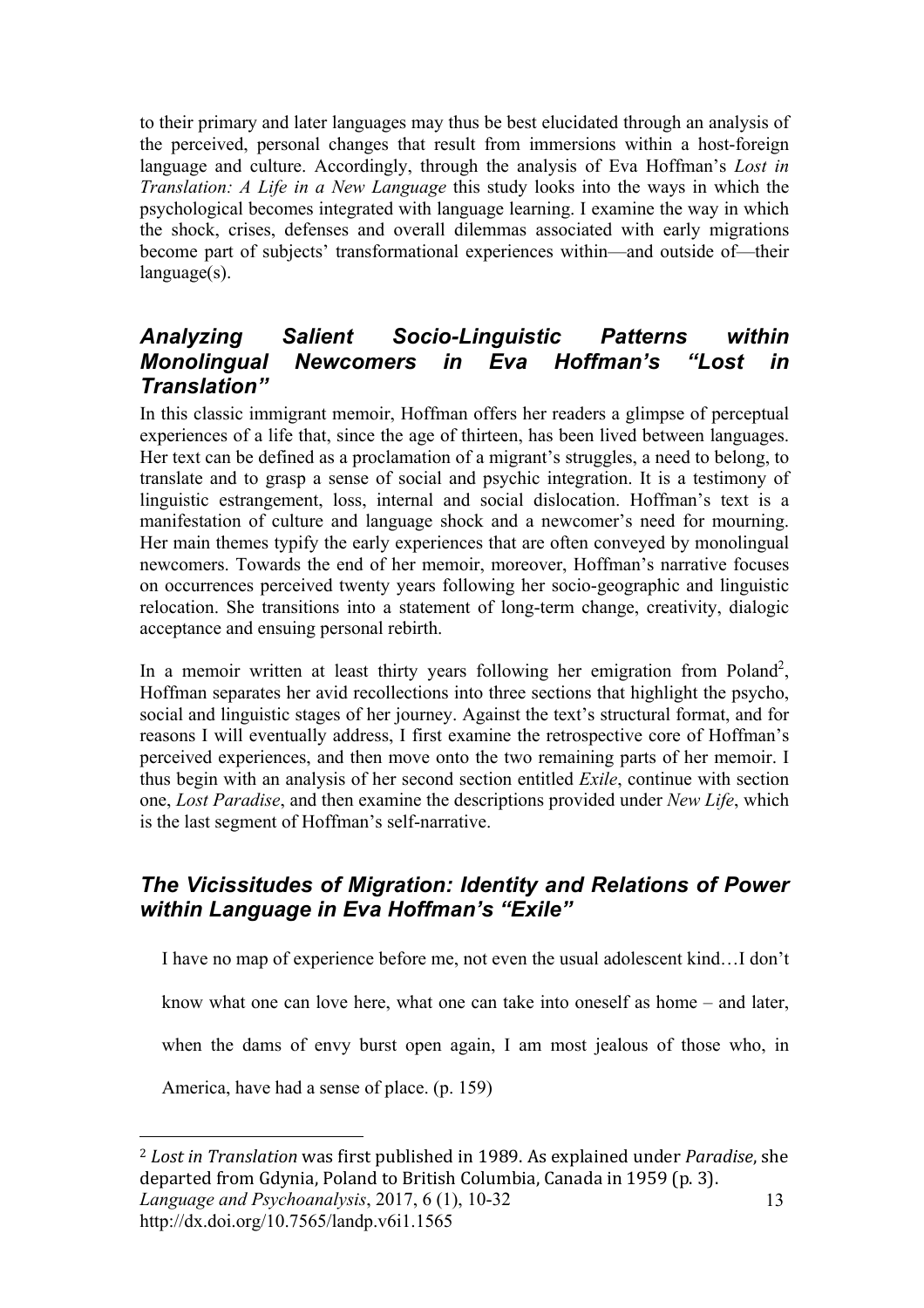to their primary and later languages may thus be best elucidated through an analysis of the perceived, personal changes that result from immersions within a host-foreign language and culture. Accordingly, through the analysis of Eva Hoffman's *Lost in Translation: A Life in a New Language* this study looks into the ways in which the psychological becomes integrated with language learning. I examine the way in which the shock, crises, defenses and overall dilemmas associated with early migrations become part of subjects' transformational experiences within—and outside of—their language(s).

### *Analyzing Salient Socio-Linguistic Patterns within Monolingual Newcomers in Eva Hoffman's "Lost in Translation"*

In this classic immigrant memoir, Hoffman offers her readers a glimpse of perceptual experiences of a life that, since the age of thirteen, has been lived between languages. Her text can be defined as a proclamation of a migrant's struggles, a need to belong, to translate and to grasp a sense of social and psychic integration. It is a testimony of linguistic estrangement, loss, internal and social dislocation. Hoffman's text is a manifestation of culture and language shock and a newcomer's need for mourning. Her main themes typify the early experiences that are often conveyed by monolingual newcomers. Towards the end of her memoir, moreover, Hoffman's narrative focuses on occurrences perceived twenty years following her socio-geographic and linguistic relocation. She transitions into a statement of long-term change, creativity, dialogic acceptance and ensuing personal rebirth.

In a memoir written at least thirty years following her emigration from Poland<sup>2</sup>, Hoffman separates her avid recollections into three sections that highlight the psycho, social and linguistic stages of her journey. Against the text's structural format, and for reasons I will eventually address, I first examine the retrospective core of Hoffman's perceived experiences, and then move onto the two remaining parts of her memoir. I thus begin with an analysis of her second section entitled *Exile*, continue with section one, *Lost Paradise*, and then examine the descriptions provided under *New Life*, which is the last segment of Hoffman's self-narrative.

### *The Vicissitudes of Migration: Identity and Relations of Power within Language in Eva Hoffman's "Exile"*

I have no map of experience before me, not even the usual adolescent kind…I don't

know what one can love here, what one can take into oneself as home – and later,

when the dams of envy burst open again, I am most jealous of those who, in

America, have had a sense of place. (p. 159)

http://dx.doi.org/10.7565/landp.v6i1.1565

*Language and Psychoanalysis*, 2017, 6 (1), 10-32 13 <sup>2</sup> Lost in Translation was first published in 1989. As explained under *Paradise*, she departed from Gdynia, Poland to British Columbia, Canada in 1959 (p. 3).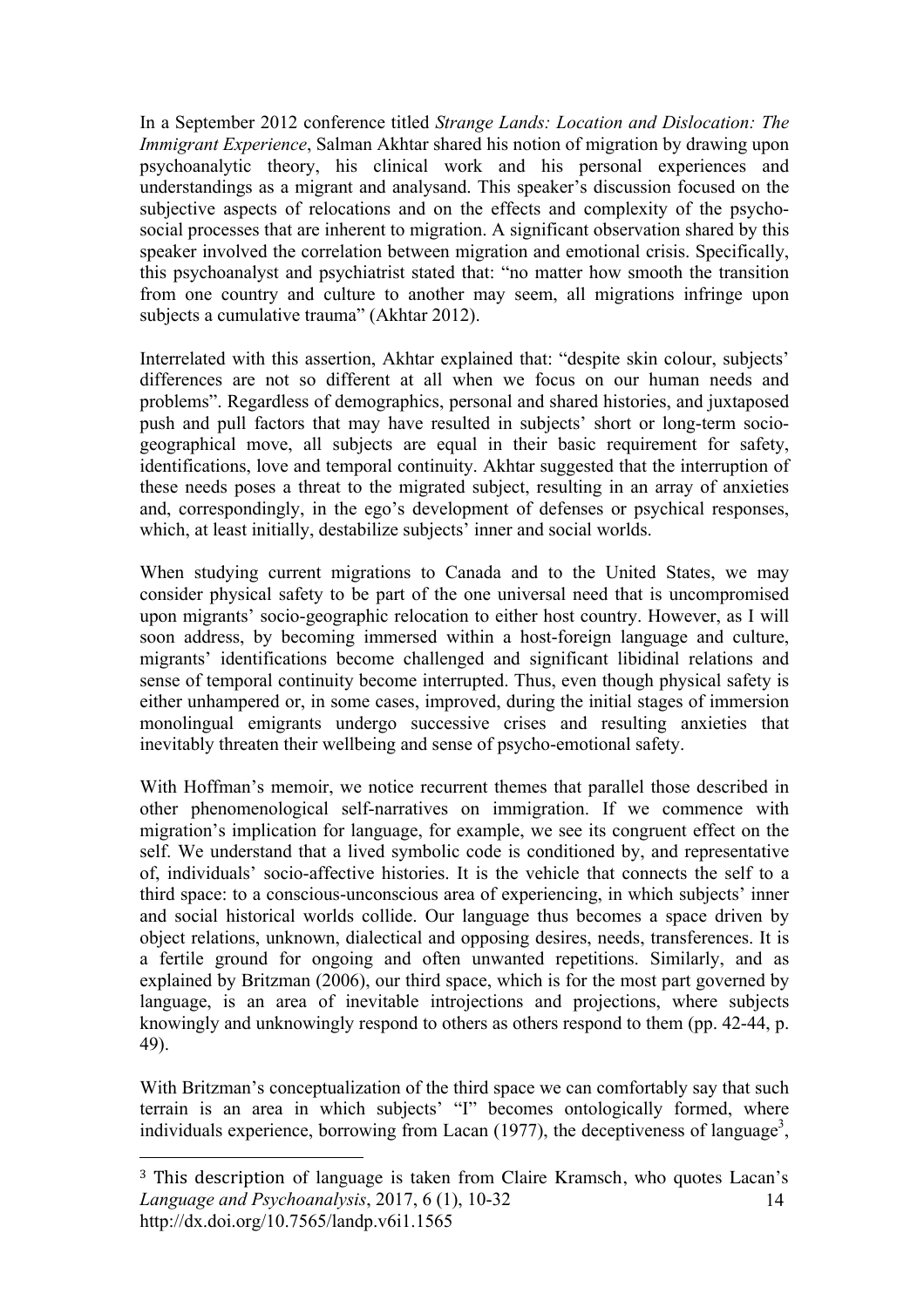In a September 2012 conference titled *Strange Lands: Location and Dislocation: The Immigrant Experience*, Salman Akhtar shared his notion of migration by drawing upon psychoanalytic theory, his clinical work and his personal experiences and understandings as a migrant and analysand. This speaker's discussion focused on the subjective aspects of relocations and on the effects and complexity of the psychosocial processes that are inherent to migration. A significant observation shared by this speaker involved the correlation between migration and emotional crisis. Specifically, this psychoanalyst and psychiatrist stated that: "no matter how smooth the transition from one country and culture to another may seem, all migrations infringe upon subjects a cumulative trauma" (Akhtar 2012).

Interrelated with this assertion, Akhtar explained that: "despite skin colour, subjects' differences are not so different at all when we focus on our human needs and problems". Regardless of demographics, personal and shared histories, and juxtaposed push and pull factors that may have resulted in subjects' short or long-term sociogeographical move, all subjects are equal in their basic requirement for safety, identifications, love and temporal continuity. Akhtar suggested that the interruption of these needs poses a threat to the migrated subject, resulting in an array of anxieties and, correspondingly, in the ego's development of defenses or psychical responses, which, at least initially, destabilize subjects' inner and social worlds.

When studying current migrations to Canada and to the United States, we may consider physical safety to be part of the one universal need that is uncompromised upon migrants' socio-geographic relocation to either host country. However, as I will soon address, by becoming immersed within a host-foreign language and culture, migrants' identifications become challenged and significant libidinal relations and sense of temporal continuity become interrupted. Thus, even though physical safety is either unhampered or, in some cases, improved, during the initial stages of immersion monolingual emigrants undergo successive crises and resulting anxieties that inevitably threaten their wellbeing and sense of psycho-emotional safety.

With Hoffman's memoir, we notice recurrent themes that parallel those described in other phenomenological self-narratives on immigration. If we commence with migration's implication for language, for example, we see its congruent effect on the self. We understand that a lived symbolic code is conditioned by, and representative of, individuals' socio-affective histories. It is the vehicle that connects the self to a third space: to a conscious-unconscious area of experiencing, in which subjects' inner and social historical worlds collide. Our language thus becomes a space driven by object relations, unknown, dialectical and opposing desires, needs, transferences. It is a fertile ground for ongoing and often unwanted repetitions. Similarly, and as explained by Britzman (2006), our third space, which is for the most part governed by language, is an area of inevitable introjections and projections, where subjects knowingly and unknowingly respond to others as others respond to them (pp. 42-44, p. 49).

With Britzman's conceptualization of the third space we can comfortably say that such terrain is an area in which subjects' "I" becomes ontologically formed, where individuals experience, borrowing from Lacan (1977), the deceptiveness of language<sup>3</sup>,

*Language and Psychoanalysis*, 2017, 6 (1), 10-32 http://dx.doi.org/10.7565/landp.v6i1.1565 14 <sup>3</sup> This description of language is taken from Claire Kramsch, who quotes Lacan's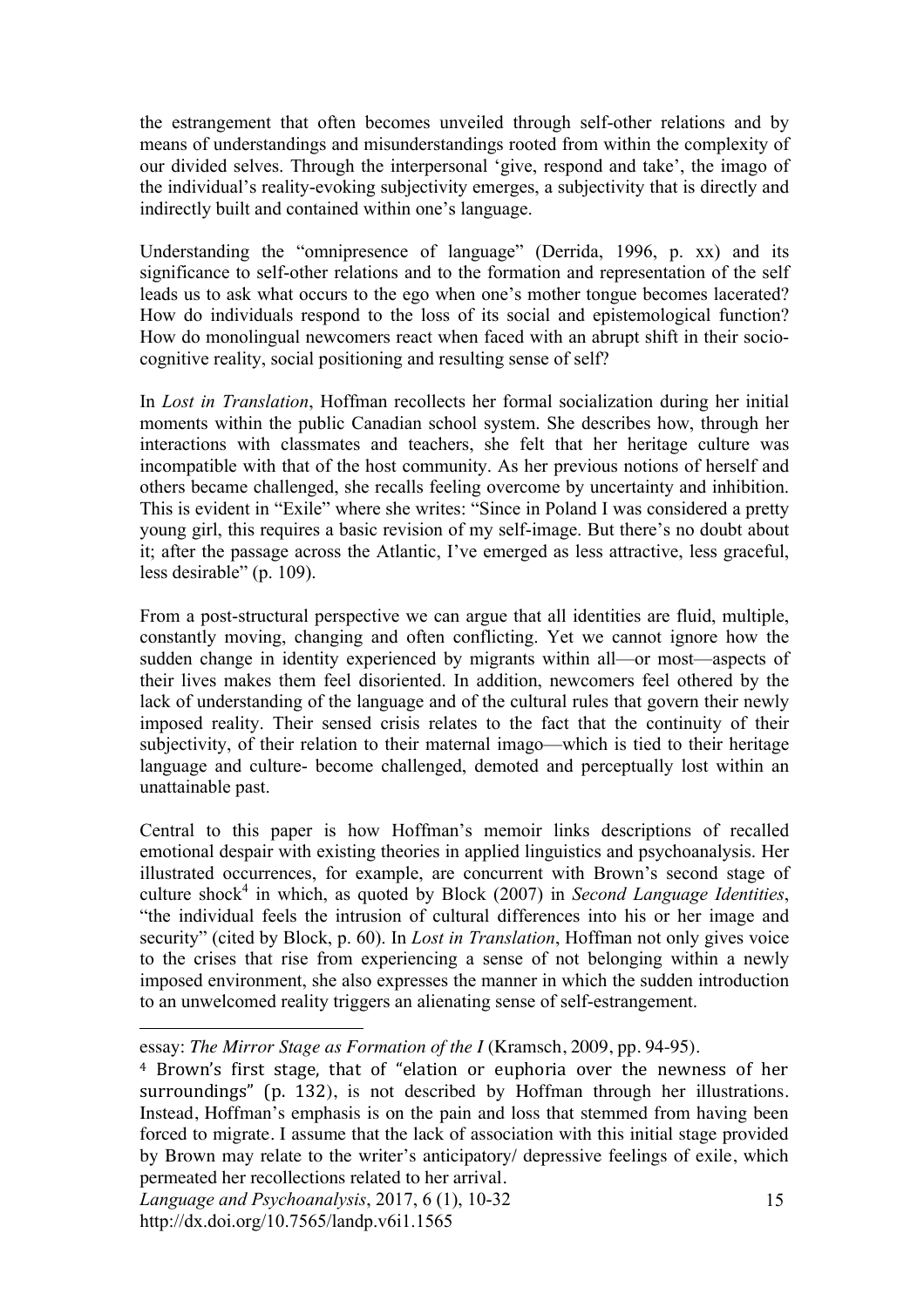the estrangement that often becomes unveiled through self-other relations and by means of understandings and misunderstandings rooted from within the complexity of our divided selves. Through the interpersonal 'give, respond and take', the imago of the individual's reality-evoking subjectivity emerges, a subjectivity that is directly and indirectly built and contained within one's language.

Understanding the "omnipresence of language" (Derrida, 1996, p. xx) and its significance to self-other relations and to the formation and representation of the self leads us to ask what occurs to the ego when one's mother tongue becomes lacerated? How do individuals respond to the loss of its social and epistemological function? How do monolingual newcomers react when faced with an abrupt shift in their sociocognitive reality, social positioning and resulting sense of self?

In *Lost in Translation*, Hoffman recollects her formal socialization during her initial moments within the public Canadian school system. She describes how, through her interactions with classmates and teachers, she felt that her heritage culture was incompatible with that of the host community. As her previous notions of herself and others became challenged, she recalls feeling overcome by uncertainty and inhibition. This is evident in "Exile" where she writes: "Since in Poland I was considered a pretty young girl, this requires a basic revision of my self-image. But there's no doubt about it; after the passage across the Atlantic, I've emerged as less attractive, less graceful, less desirable" (p. 109).

From a post-structural perspective we can argue that all identities are fluid, multiple, constantly moving, changing and often conflicting. Yet we cannot ignore how the sudden change in identity experienced by migrants within all—or most—aspects of their lives makes them feel disoriented. In addition, newcomers feel othered by the lack of understanding of the language and of the cultural rules that govern their newly imposed reality. Their sensed crisis relates to the fact that the continuity of their subjectivity, of their relation to their maternal imago—which is tied to their heritage language and culture- become challenged, demoted and perceptually lost within an unattainable past.

Central to this paper is how Hoffman's memoir links descriptions of recalled emotional despair with existing theories in applied linguistics and psychoanalysis. Her illustrated occurrences, for example, are concurrent with Brown's second stage of culture shock<sup>4</sup> in which, as quoted by Block (2007) in *Second Language Identities*, "the individual feels the intrusion of cultural differences into his or her image and security" (cited by Block, p. 60). In *Lost in Translation*, Hoffman not only gives voice to the crises that rise from experiencing a sense of not belonging within a newly imposed environment, she also expresses the manner in which the sudden introduction to an unwelcomed reality triggers an alienating sense of self-estrangement.

essay: *The Mirror Stage as Formation of the I* (Kramsch, 2009, pp. 94-95).

<sup>&</sup>lt;sup>4</sup> Brown's first stage, that of "elation or euphoria over the newness of her surroundings" (p. 132), is not described by Hoffman through her illustrations. Instead, Hoffman's emphasis is on the pain and loss that stemmed from having been forced to migrate. I assume that the lack of association with this initial stage provided by Brown may relate to the writer's anticipatory/ depressive feelings of exile, which permeated her recollections related to her arrival.

*Language and Psychoanalysis*, 2017, 6 (1), 10-32 http://dx.doi.org/10.7565/landp.v6i1.1565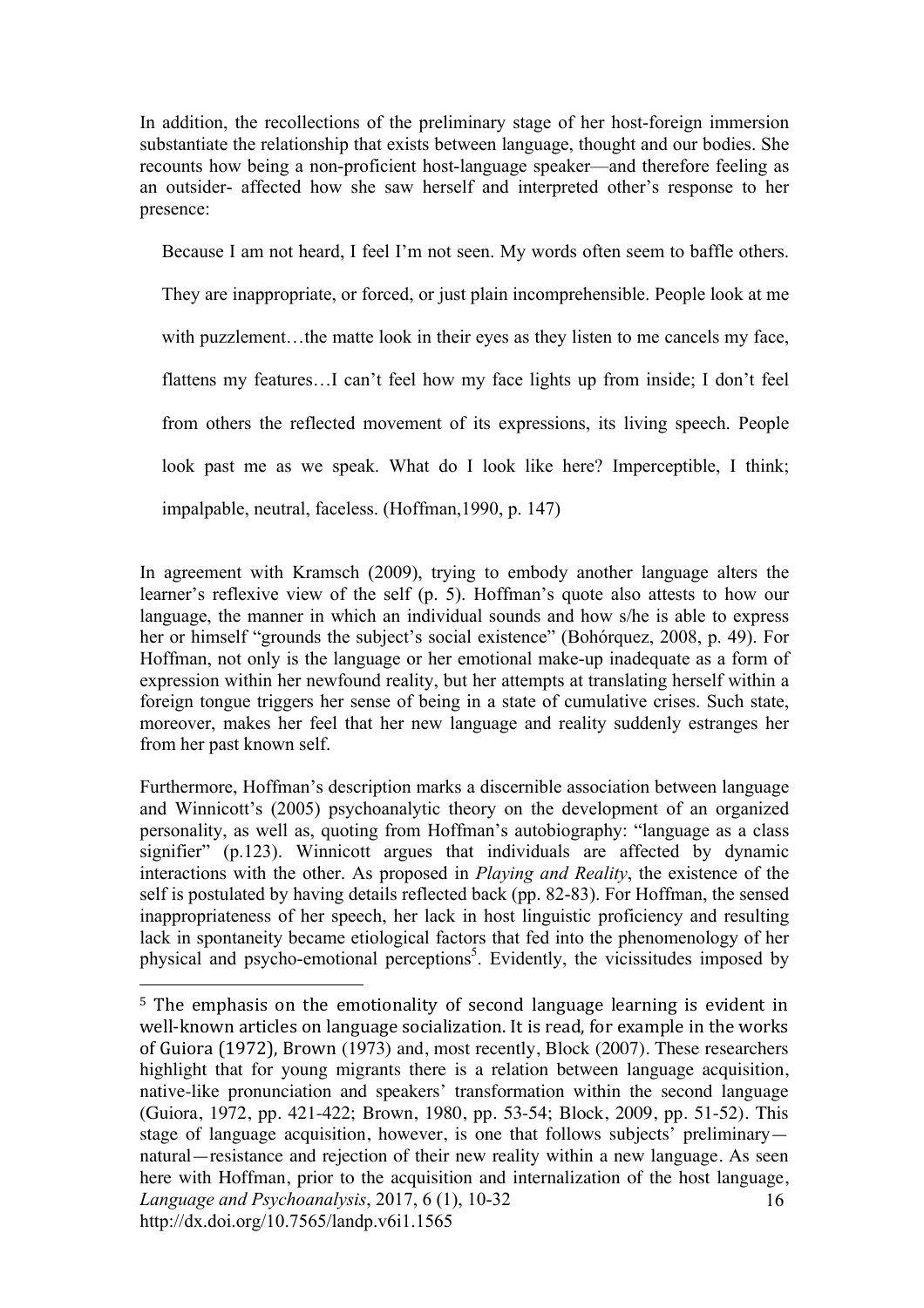In addition, the recollections of the preliminary stage of her host-foreign immersion substantiate the relationship that exists between language, thought and our bodies. She recounts how being a non-proficient host-language speaker—and therefore feeling as an outsider- affected how she saw herself and interpreted other's response to her presence:

Because I am not heard, I feel I'm not seen. My words often seem to baffle others.

They are inappropriate, or forced, or just plain incomprehensible. People look at me with puzzlement...the matte look in their eyes as they listen to me cancels my face, flattens my features…I can't feel how my face lights up from inside; I don't feel from others the reflected movement of its expressions, its living speech. People look past me as we speak. What do I look like here? Imperceptible, I think; impalpable, neutral, faceless. (Hoffman,1990, p. 147)

In agreement with Kramsch (2009), trying to embody another language alters the learner's reflexive view of the self (p. 5). Hoffman's quote also attests to how our language, the manner in which an individual sounds and how s/he is able to express her or himself "grounds the subject's social existence" (Bohórquez, 2008, p. 49). For Hoffman, not only is the language or her emotional make-up inadequate as a form of expression within her newfound reality, but her attempts at translating herself within a foreign tongue triggers her sense of being in a state of cumulative crises. Such state, moreover, makes her feel that her new language and reality suddenly estranges her from her past known self.

Furthermore, Hoffman's description marks a discernible association between language and Winnicott's (2005) psychoanalytic theory on the development of an organized personality, as well as, quoting from Hoffman's autobiography: "language as a class signifier" (p.123). Winnicott argues that individuals are affected by dynamic interactions with the other. As proposed in *Playing and Reality*, the existence of the self is postulated by having details reflected back (pp. 82-83). For Hoffman, the sensed inappropriateness of her speech, her lack in host linguistic proficiency and resulting lack in spontaneity became etiological factors that fed into the phenomenology of her physical and psycho-emotional perceptions 5 . Evidently, the vicissitudes imposed by

*Language and Psychoanalysis*, 2017, 6 (1), 10-32 http://dx.doi.org/10.7565/landp.v6i1.1565 16 <sup>5</sup> The emphasis on the emotionality of second language learning is evident in well-known articles on language socialization. It is read, for example in the works of Guiora (1972), Brown (1973) and, most recently, Block (2007). These researchers highlight that for young migrants there is a relation between language acquisition, native-like pronunciation and speakers' transformation within the second language (Guiora, 1972, pp. 421-422; Brown, 1980, pp. 53-54; Block, 2009, pp. 51-52). This stage of language acquisition, however, is one that follows subjects' preliminary natural—resistance and rejection of their new reality within a new language. As seen here with Hoffman, prior to the acquisition and internalization of the host language,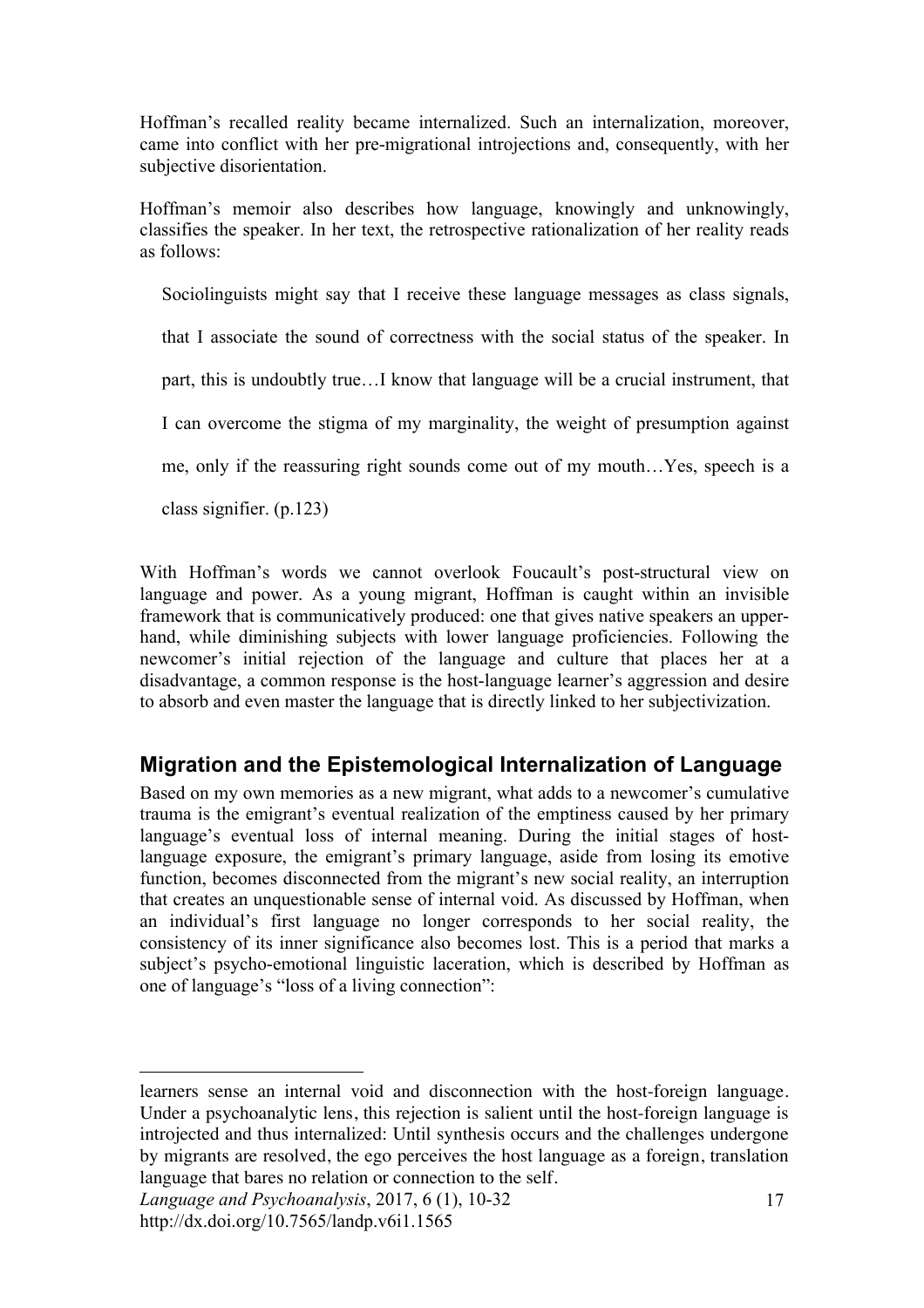Hoffman's recalled reality became internalized. Such an internalization, moreover, came into conflict with her pre-migrational introjections and, consequently, with her subjective disorientation.

Hoffman's memoir also describes how language, knowingly and unknowingly, classifies the speaker. In her text, the retrospective rationalization of her reality reads as follows:

Sociolinguists might say that I receive these language messages as class signals,

that I associate the sound of correctness with the social status of the speaker. In

part, this is undoubtly true…I know that language will be a crucial instrument, that

I can overcome the stigma of my marginality, the weight of presumption against

me, only if the reassuring right sounds come out of my mouth…Yes, speech is a

class signifier. (p.123)

With Hoffman's words we cannot overlook Foucault's post-structural view on language and power. As a young migrant, Hoffman is caught within an invisible framework that is communicatively produced: one that gives native speakers an upperhand, while diminishing subjects with lower language proficiencies. Following the newcomer's initial rejection of the language and culture that places her at a disadvantage, a common response is the host-language learner's aggression and desire to absorb and even master the language that is directly linked to her subjectivization.

# **Migration and the Epistemological Internalization of Language**

Based on my own memories as a new migrant, what adds to a newcomer's cumulative trauma is the emigrant's eventual realization of the emptiness caused by her primary language's eventual loss of internal meaning. During the initial stages of hostlanguage exposure, the emigrant's primary language, aside from losing its emotive function, becomes disconnected from the migrant's new social reality, an interruption that creates an unquestionable sense of internal void. As discussed by Hoffman, when an individual's first language no longer corresponds to her social reality, the consistency of its inner significance also becomes lost. This is a period that marks a subject's psycho-emotional linguistic laceration, which is described by Hoffman as one of language's "loss of a living connection":

 $\overline{a}$ learners sense an internal void and disconnection with the host-foreign language. Under a psychoanalytic lens, this rejection is salient until the host-foreign language is introjected and thus internalized: Until synthesis occurs and the challenges undergone by migrants are resolved, the ego perceives the host language as a foreign, translation language that bares no relation or connection to the self.

*Language and Psychoanalysis*, 2017, 6 (1), 10-32 http://dx.doi.org/10.7565/landp.v6i1.1565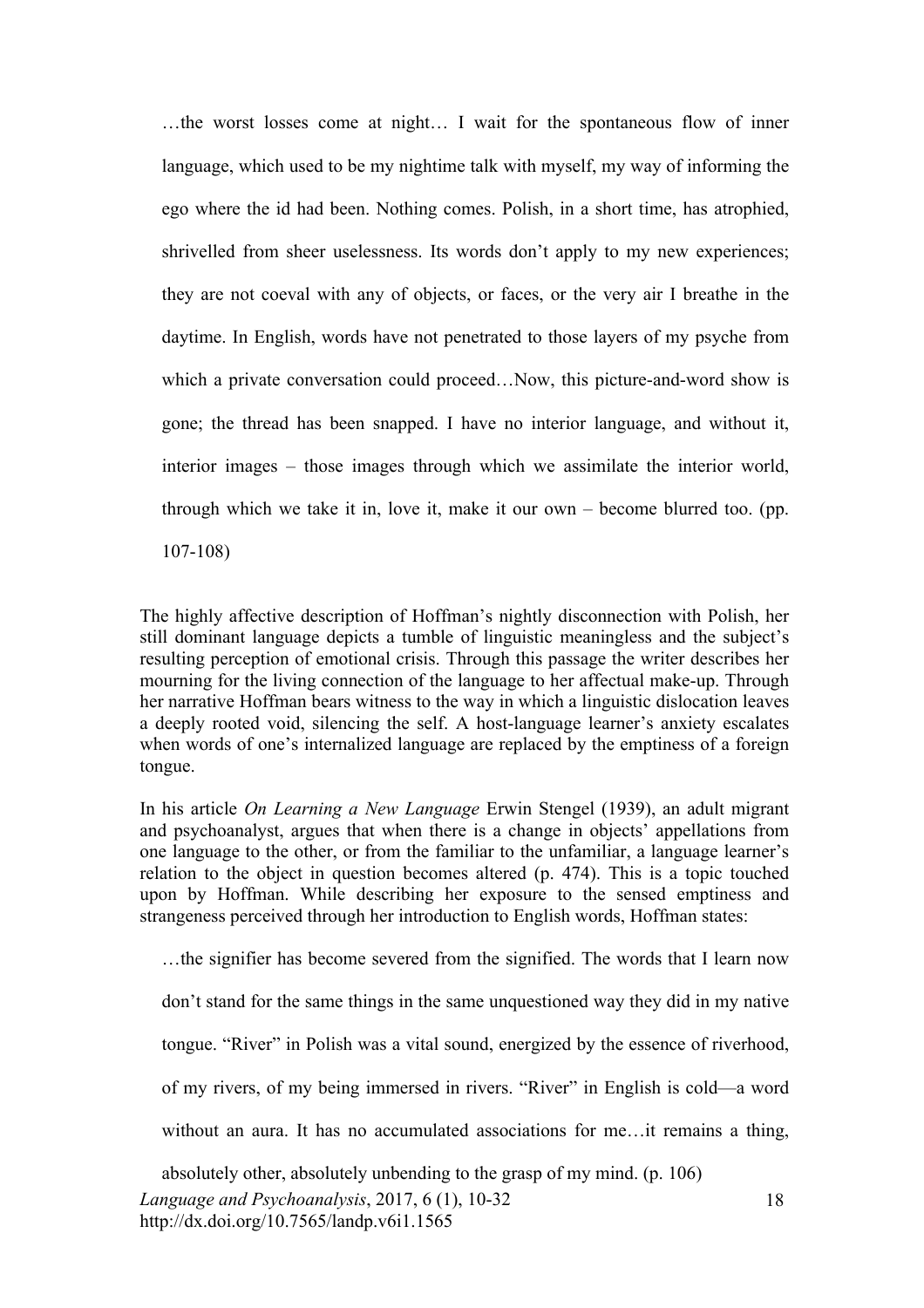…the worst losses come at night… I wait for the spontaneous flow of inner language, which used to be my nightime talk with myself, my way of informing the ego where the id had been. Nothing comes. Polish, in a short time, has atrophied, shrivelled from sheer uselessness. Its words don't apply to my new experiences; they are not coeval with any of objects, or faces, or the very air I breathe in the daytime. In English, words have not penetrated to those layers of my psyche from which a private conversation could proceed...Now, this picture-and-word show is gone; the thread has been snapped. I have no interior language, and without it, interior images – those images through which we assimilate the interior world, through which we take it in, love it, make it our own – become blurred too. (pp. 107-108)

The highly affective description of Hoffman's nightly disconnection with Polish, her still dominant language depicts a tumble of linguistic meaningless and the subject's resulting perception of emotional crisis. Through this passage the writer describes her mourning for the living connection of the language to her affectual make-up. Through her narrative Hoffman bears witness to the way in which a linguistic dislocation leaves a deeply rooted void, silencing the self. A host-language learner's anxiety escalates when words of one's internalized language are replaced by the emptiness of a foreign tongue.

In his article *On Learning a New Language* Erwin Stengel (1939), an adult migrant and psychoanalyst, argues that when there is a change in objects' appellations from one language to the other, or from the familiar to the unfamiliar, a language learner's relation to the object in question becomes altered (p. 474). This is a topic touched upon by Hoffman. While describing her exposure to the sensed emptiness and strangeness perceived through her introduction to English words, Hoffman states:

…the signifier has become severed from the signified. The words that I learn now don't stand for the same things in the same unquestioned way they did in my native tongue. "River" in Polish was a vital sound, energized by the essence of riverhood, of my rivers, of my being immersed in rivers. "River" in English is cold—a word without an aura. It has no accumulated associations for me...it remains a thing, absolutely other, absolutely unbending to the grasp of my mind. (p. 106)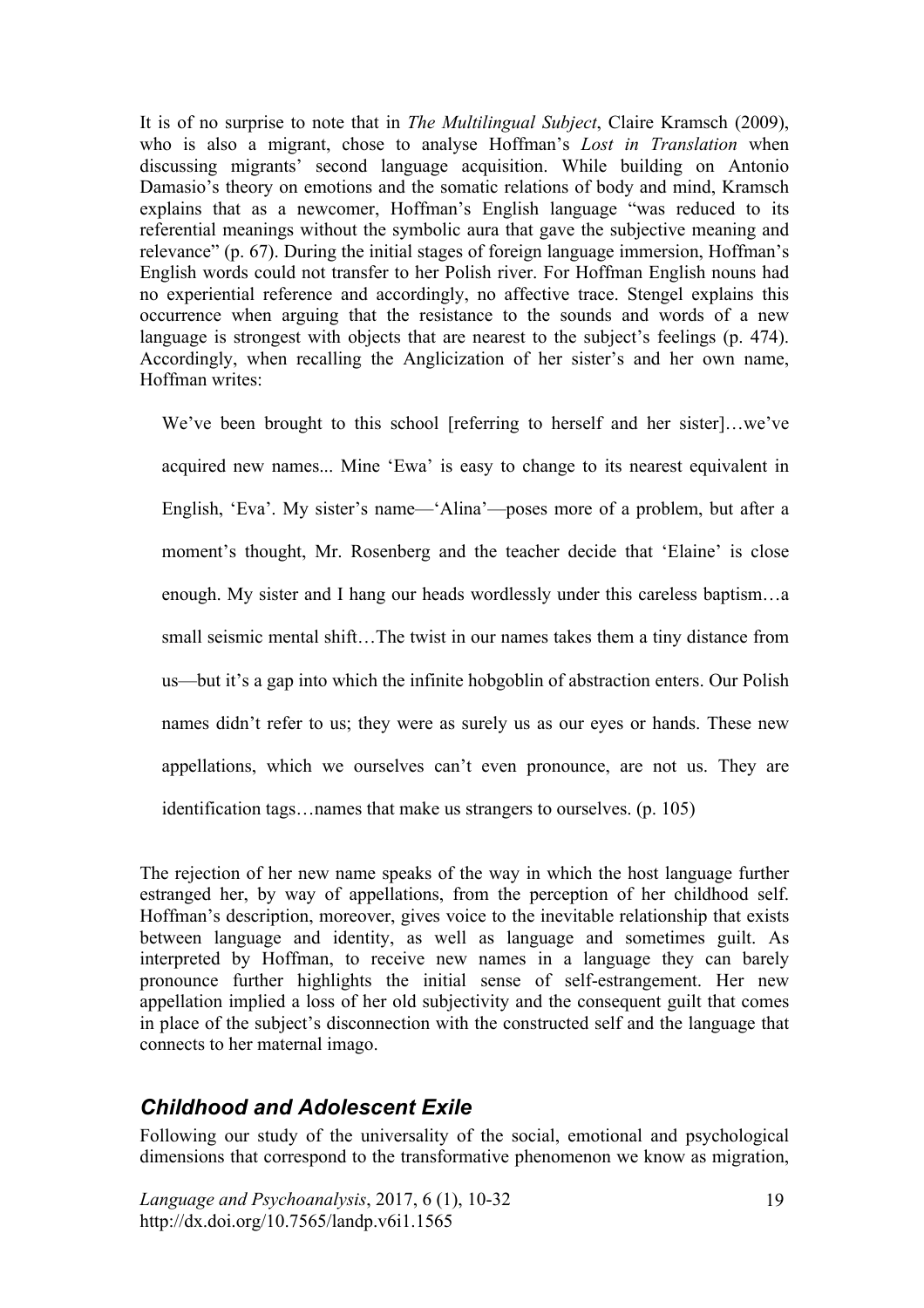It is of no surprise to note that in *The Multilingual Subject*, Claire Kramsch (2009), who is also a migrant, chose to analyse Hoffman's *Lost in Translation* when discussing migrants' second language acquisition. While building on Antonio Damasio's theory on emotions and the somatic relations of body and mind, Kramsch explains that as a newcomer, Hoffman's English language "was reduced to its referential meanings without the symbolic aura that gave the subjective meaning and relevance" (p. 67). During the initial stages of foreign language immersion, Hoffman's English words could not transfer to her Polish river. For Hoffman English nouns had no experiential reference and accordingly, no affective trace. Stengel explains this occurrence when arguing that the resistance to the sounds and words of a new language is strongest with objects that are nearest to the subject's feelings (p. 474). Accordingly, when recalling the Anglicization of her sister's and her own name, Hoffman writes:

We've been brought to this school [referring to herself and her sister]...we've acquired new names... Mine 'Ewa' is easy to change to its nearest equivalent in English, 'Eva'. My sister's name—'Alina'—poses more of a problem, but after a moment's thought, Mr. Rosenberg and the teacher decide that 'Elaine' is close enough. My sister and I hang our heads wordlessly under this careless baptism…a small seismic mental shift…The twist in our names takes them a tiny distance from us—but it's a gap into which the infinite hobgoblin of abstraction enters. Our Polish names didn't refer to us; they were as surely us as our eyes or hands. These new appellations, which we ourselves can't even pronounce, are not us. They are identification tags…names that make us strangers to ourselves. (p. 105)

The rejection of her new name speaks of the way in which the host language further estranged her, by way of appellations, from the perception of her childhood self. Hoffman's description, moreover, gives voice to the inevitable relationship that exists between language and identity, as well as language and sometimes guilt. As interpreted by Hoffman, to receive new names in a language they can barely pronounce further highlights the initial sense of self-estrangement. Her new appellation implied a loss of her old subjectivity and the consequent guilt that comes in place of the subject's disconnection with the constructed self and the language that connects to her maternal imago.

#### *Childhood and Adolescent Exile*

Following our study of the universality of the social, emotional and psychological dimensions that correspond to the transformative phenomenon we know as migration,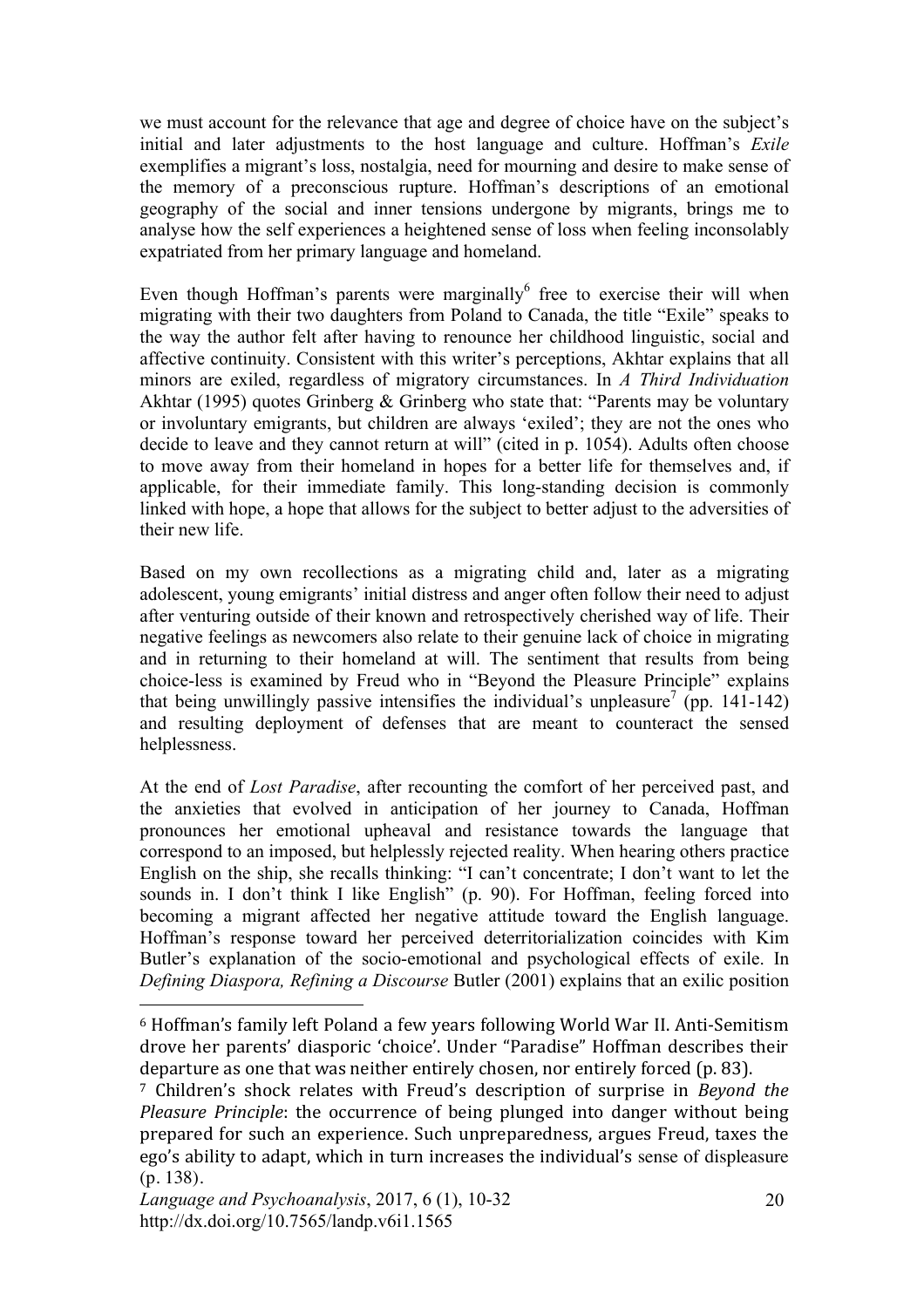we must account for the relevance that age and degree of choice have on the subject's initial and later adjustments to the host language and culture. Hoffman's *Exile* exemplifies a migrant's loss, nostalgia, need for mourning and desire to make sense of the memory of a preconscious rupture. Hoffman's descriptions of an emotional geography of the social and inner tensions undergone by migrants, brings me to analyse how the self experiences a heightened sense of loss when feeling inconsolably expatriated from her primary language and homeland.

Even though Hoffman's parents were marginally $<sup>6</sup>$  free to exercise their will when</sup> migrating with their two daughters from Poland to Canada, the title "Exile" speaks to the way the author felt after having to renounce her childhood linguistic, social and affective continuity. Consistent with this writer's perceptions, Akhtar explains that all minors are exiled, regardless of migratory circumstances. In *A Third Individuation* Akhtar (1995) quotes Grinberg & Grinberg who state that: "Parents may be voluntary or involuntary emigrants, but children are always 'exiled'; they are not the ones who decide to leave and they cannot return at will" (cited in p. 1054). Adults often choose to move away from their homeland in hopes for a better life for themselves and, if applicable, for their immediate family. This long-standing decision is commonly linked with hope, a hope that allows for the subject to better adjust to the adversities of their new life.

Based on my own recollections as a migrating child and, later as a migrating adolescent, young emigrants' initial distress and anger often follow their need to adjust after venturing outside of their known and retrospectively cherished way of life. Their negative feelings as newcomers also relate to their genuine lack of choice in migrating and in returning to their homeland at will. The sentiment that results from being choice-less is examined by Freud who in "Beyond the Pleasure Principle" explains that being unwillingly passive intensifies the individual's unpleasure<sup>7</sup> (pp. 141-142) and resulting deployment of defenses that are meant to counteract the sensed helplessness.

At the end of *Lost Paradise*, after recounting the comfort of her perceived past, and the anxieties that evolved in anticipation of her journey to Canada, Hoffman pronounces her emotional upheaval and resistance towards the language that correspond to an imposed, but helplessly rejected reality. When hearing others practice English on the ship, she recalls thinking: "I can't concentrate; I don't want to let the sounds in. I don't think I like English" (p. 90). For Hoffman, feeling forced into becoming a migrant affected her negative attitude toward the English language. Hoffman's response toward her perceived deterritorialization coincides with Kim Butler's explanation of the socio-emotional and psychological effects of exile. In *Defining Diaspora, Refining a Discourse* Butler (2001) explains that an exilic position

 $6$  Hoffman's family left Poland a few years following World War II. Anti-Semitism drove her parents' diasporic 'choice'. Under "Paradise" Hoffman describes their departure as one that was neither entirely chosen, nor entirely forced (p. 83).

<sup>&</sup>lt;sup>7</sup> Children's shock relates with Freud's description of surprise in *Beyond the Pleasure Principle*: the occurrence of being plunged into danger without being prepared for such an experience. Such unpreparedness, argues Freud, taxes the ego's ability to adapt, which in turn increases the individual's sense of displeasure (p. 138).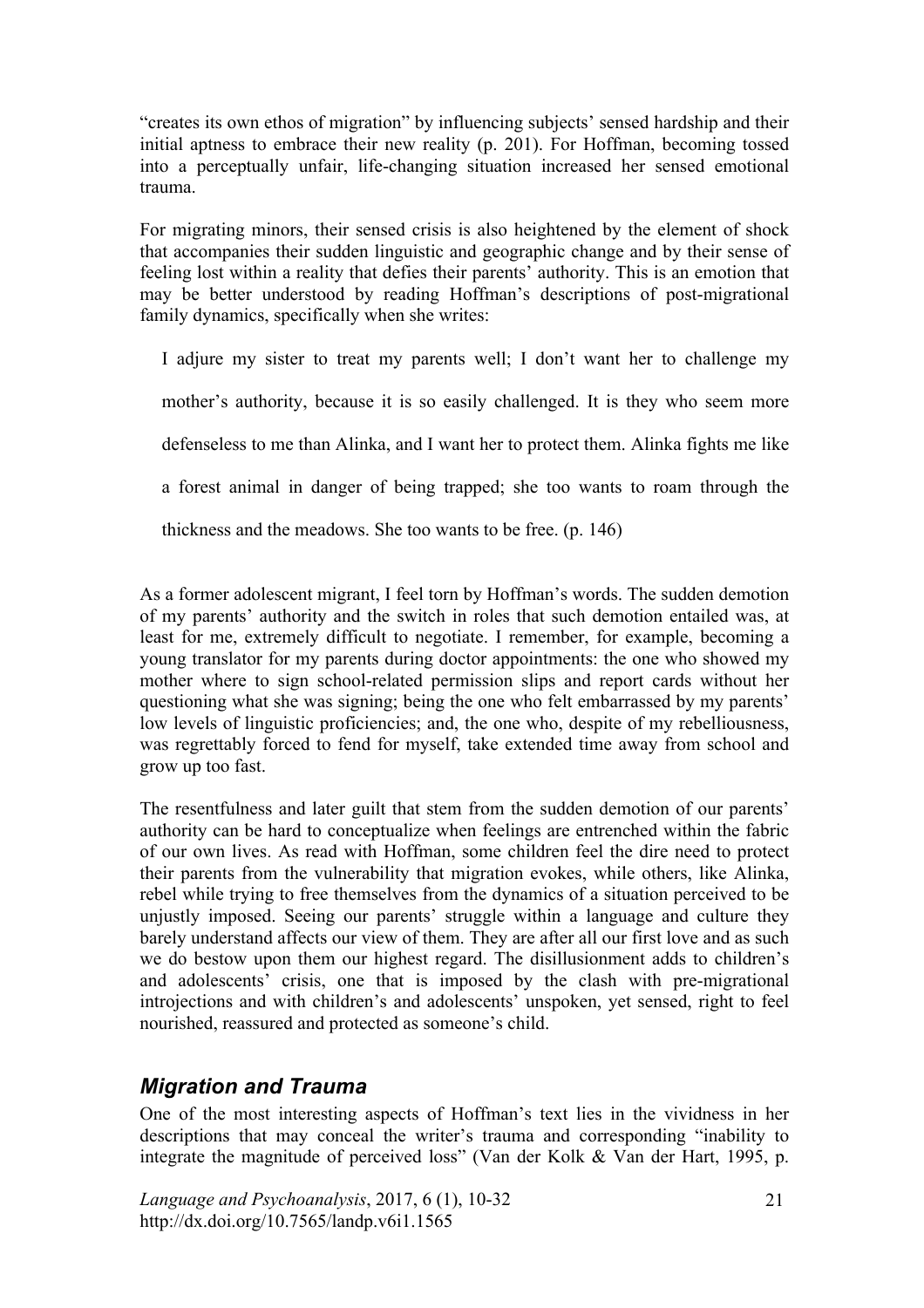"creates its own ethos of migration" by influencing subjects' sensed hardship and their initial aptness to embrace their new reality (p. 201). For Hoffman, becoming tossed into a perceptually unfair, life-changing situation increased her sensed emotional trauma.

For migrating minors, their sensed crisis is also heightened by the element of shock that accompanies their sudden linguistic and geographic change and by their sense of feeling lost within a reality that defies their parents' authority. This is an emotion that may be better understood by reading Hoffman's descriptions of post-migrational family dynamics, specifically when she writes:

I adjure my sister to treat my parents well; I don't want her to challenge my mother's authority, because it is so easily challenged. It is they who seem more defenseless to me than Alinka, and I want her to protect them. Alinka fights me like a forest animal in danger of being trapped; she too wants to roam through the

thickness and the meadows. She too wants to be free. (p. 146)

As a former adolescent migrant, I feel torn by Hoffman's words. The sudden demotion of my parents' authority and the switch in roles that such demotion entailed was, at least for me, extremely difficult to negotiate. I remember, for example, becoming a young translator for my parents during doctor appointments: the one who showed my mother where to sign school-related permission slips and report cards without her questioning what she was signing; being the one who felt embarrassed by my parents' low levels of linguistic proficiencies; and, the one who, despite of my rebelliousness, was regrettably forced to fend for myself, take extended time away from school and grow up too fast.

The resentfulness and later guilt that stem from the sudden demotion of our parents' authority can be hard to conceptualize when feelings are entrenched within the fabric of our own lives. As read with Hoffman, some children feel the dire need to protect their parents from the vulnerability that migration evokes, while others, like Alinka, rebel while trying to free themselves from the dynamics of a situation perceived to be unjustly imposed. Seeing our parents' struggle within a language and culture they barely understand affects our view of them. They are after all our first love and as such we do bestow upon them our highest regard. The disillusionment adds to children's and adolescents' crisis, one that is imposed by the clash with pre-migrational introjections and with children's and adolescents' unspoken, yet sensed, right to feel nourished, reassured and protected as someone's child.

# *Migration and Trauma*

One of the most interesting aspects of Hoffman's text lies in the vividness in her descriptions that may conceal the writer's trauma and corresponding "inability to integrate the magnitude of perceived loss" (Van der Kolk & Van der Hart, 1995, p.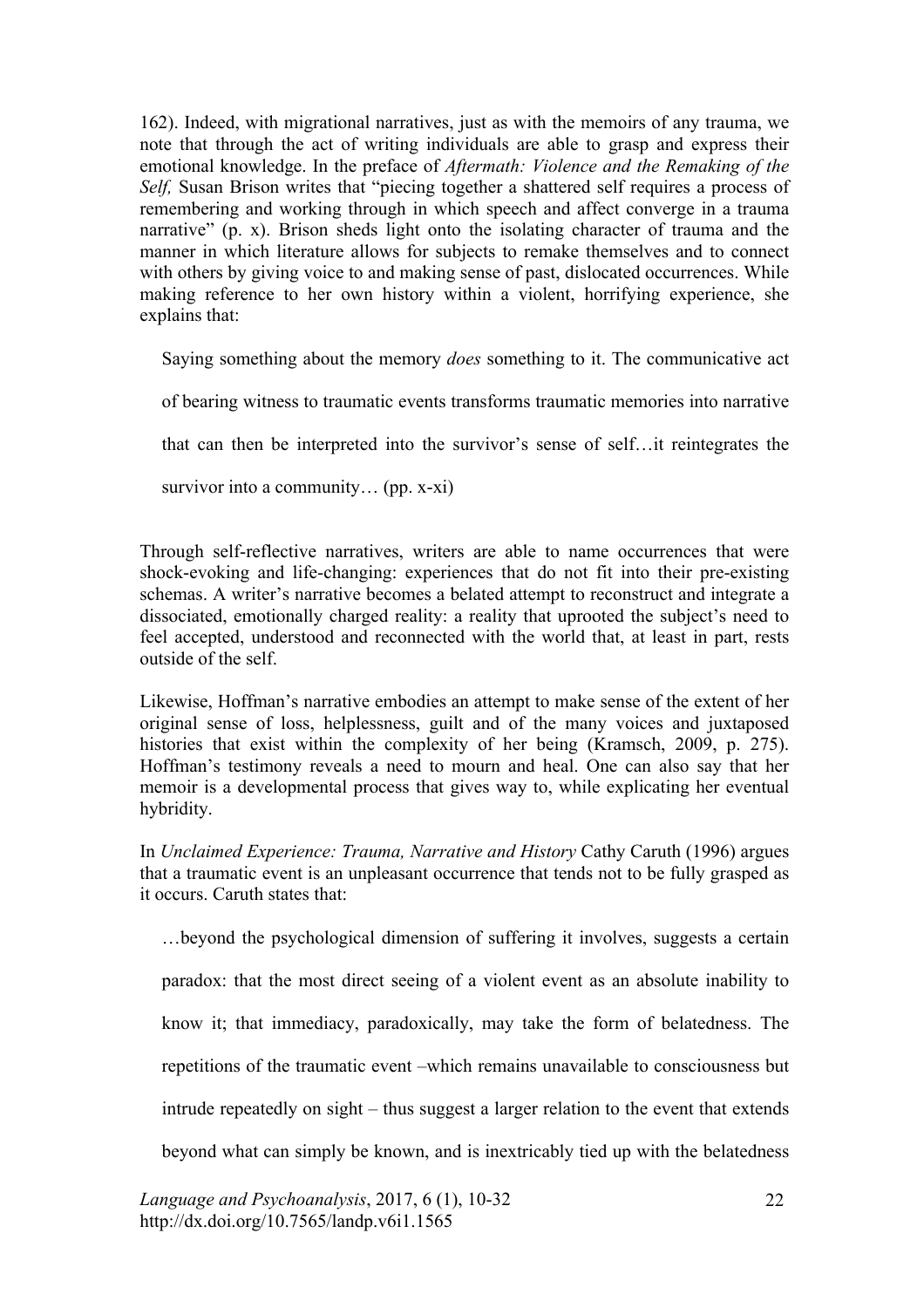162). Indeed, with migrational narratives, just as with the memoirs of any trauma, we note that through the act of writing individuals are able to grasp and express their emotional knowledge. In the preface of *Aftermath: Violence and the Remaking of the Self,* Susan Brison writes that "piecing together a shattered self requires a process of remembering and working through in which speech and affect converge in a trauma narrative" (p. x). Brison sheds light onto the isolating character of trauma and the manner in which literature allows for subjects to remake themselves and to connect with others by giving voice to and making sense of past, dislocated occurrences. While making reference to her own history within a violent, horrifying experience, she explains that:

Saying something about the memory *does* something to it. The communicative act

of bearing witness to traumatic events transforms traumatic memories into narrative

that can then be interpreted into the survivor's sense of self…it reintegrates the

survivor into a community… (pp. x-xi)

Through self-reflective narratives, writers are able to name occurrences that were shock-evoking and life-changing: experiences that do not fit into their pre-existing schemas. A writer's narrative becomes a belated attempt to reconstruct and integrate a dissociated, emotionally charged reality: a reality that uprooted the subject's need to feel accepted, understood and reconnected with the world that, at least in part, rests outside of the self.

Likewise, Hoffman's narrative embodies an attempt to make sense of the extent of her original sense of loss, helplessness, guilt and of the many voices and juxtaposed histories that exist within the complexity of her being (Kramsch, 2009, p. 275). Hoffman's testimony reveals a need to mourn and heal. One can also say that her memoir is a developmental process that gives way to, while explicating her eventual hybridity.

In *Unclaimed Experience: Trauma, Narrative and History* Cathy Caruth (1996) argues that a traumatic event is an unpleasant occurrence that tends not to be fully grasped as it occurs. Caruth states that:

…beyond the psychological dimension of suffering it involves, suggests a certain

paradox: that the most direct seeing of a violent event as an absolute inability to

know it; that immediacy, paradoxically, may take the form of belatedness. The

repetitions of the traumatic event –which remains unavailable to consciousness but

intrude repeatedly on sight – thus suggest a larger relation to the event that extends

beyond what can simply be known, and is inextricably tied up with the belatedness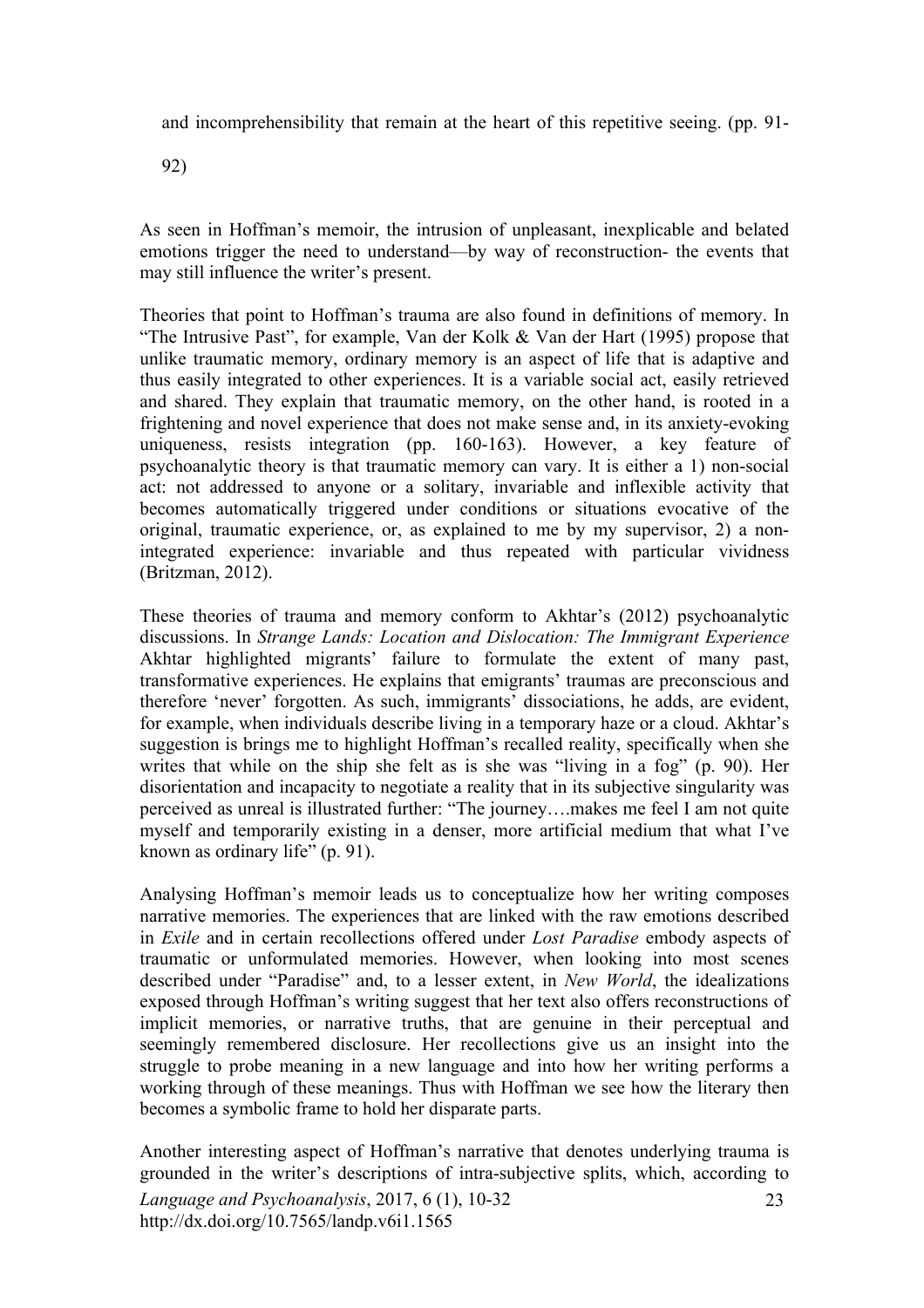and incomprehensibility that remain at the heart of this repetitive seeing. (pp. 91-

92)

As seen in Hoffman's memoir, the intrusion of unpleasant, inexplicable and belated emotions trigger the need to understand—by way of reconstruction- the events that may still influence the writer's present.

Theories that point to Hoffman's trauma are also found in definitions of memory. In "The Intrusive Past", for example, Van der Kolk & Van der Hart (1995) propose that unlike traumatic memory, ordinary memory is an aspect of life that is adaptive and thus easily integrated to other experiences. It is a variable social act, easily retrieved and shared. They explain that traumatic memory, on the other hand, is rooted in a frightening and novel experience that does not make sense and, in its anxiety-evoking uniqueness, resists integration (pp. 160-163). However, a key feature of psychoanalytic theory is that traumatic memory can vary. It is either a 1) non-social act: not addressed to anyone or a solitary, invariable and inflexible activity that becomes automatically triggered under conditions or situations evocative of the original, traumatic experience, or, as explained to me by my supervisor, 2) a nonintegrated experience: invariable and thus repeated with particular vividness (Britzman, 2012).

These theories of trauma and memory conform to Akhtar's (2012) psychoanalytic discussions. In *Strange Lands: Location and Dislocation: The Immigrant Experience* Akhtar highlighted migrants' failure to formulate the extent of many past, transformative experiences. He explains that emigrants' traumas are preconscious and therefore 'never' forgotten. As such, immigrants' dissociations, he adds, are evident, for example, when individuals describe living in a temporary haze or a cloud. Akhtar's suggestion is brings me to highlight Hoffman's recalled reality, specifically when she writes that while on the ship she felt as is she was "living in a fog" (p. 90). Her disorientation and incapacity to negotiate a reality that in its subjective singularity was perceived as unreal is illustrated further: "The journey….makes me feel I am not quite myself and temporarily existing in a denser, more artificial medium that what I've known as ordinary life" (p. 91).

Analysing Hoffman's memoir leads us to conceptualize how her writing composes narrative memories. The experiences that are linked with the raw emotions described in *Exile* and in certain recollections offered under *Lost Paradise* embody aspects of traumatic or unformulated memories. However, when looking into most scenes described under "Paradise" and, to a lesser extent, in *New World*, the idealizations exposed through Hoffman's writing suggest that her text also offers reconstructions of implicit memories, or narrative truths, that are genuine in their perceptual and seemingly remembered disclosure. Her recollections give us an insight into the struggle to probe meaning in a new language and into how her writing performs a working through of these meanings. Thus with Hoffman we see how the literary then becomes a symbolic frame to hold her disparate parts.

Another interesting aspect of Hoffman's narrative that denotes underlying trauma is grounded in the writer's descriptions of intra-subjective splits, which, according to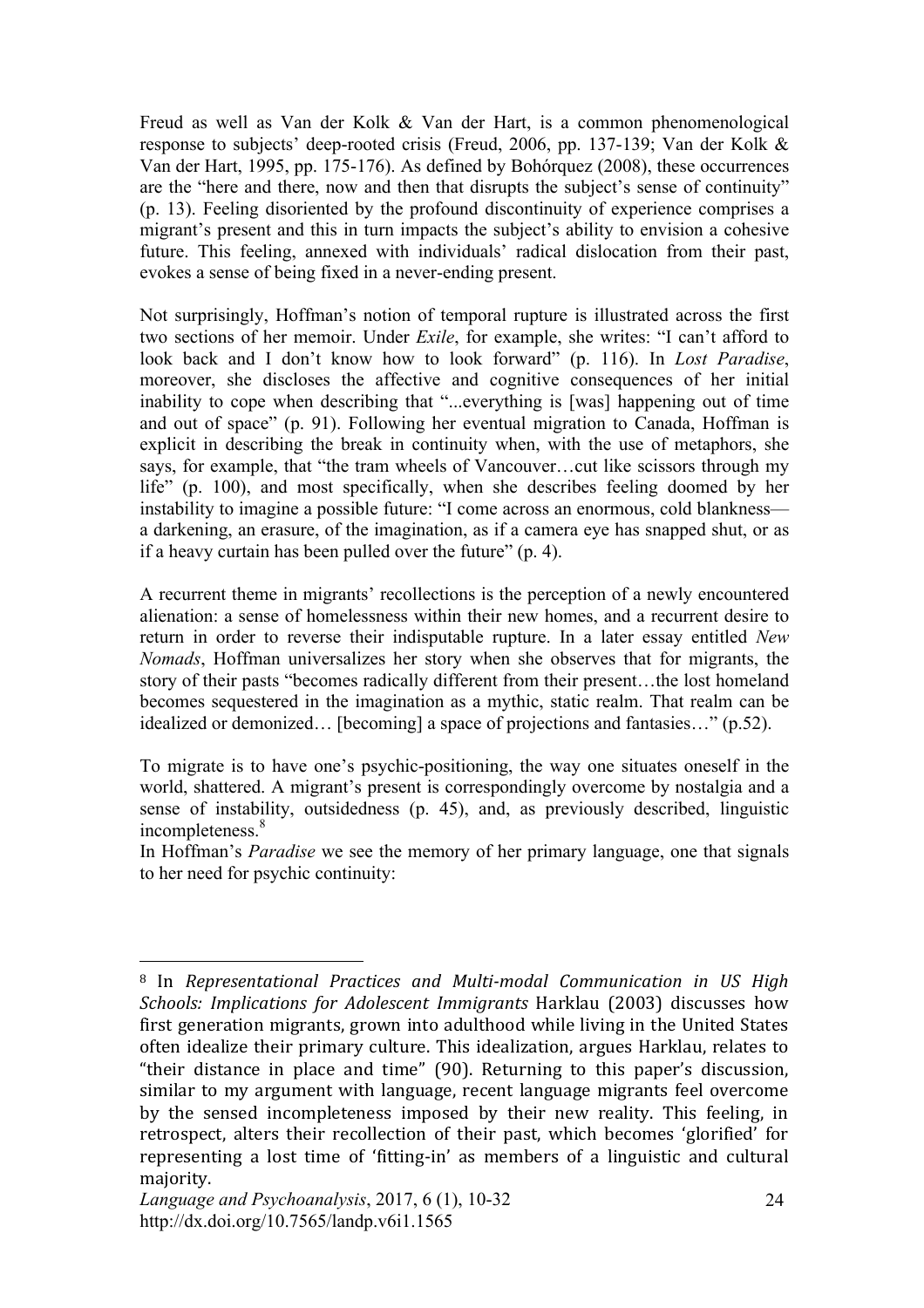Freud as well as Van der Kolk & Van der Hart, is a common phenomenological response to subjects' deep-rooted crisis (Freud, 2006, pp. 137-139; Van der Kolk & Van der Hart, 1995, pp. 175-176). As defined by Bohórquez (2008), these occurrences are the "here and there, now and then that disrupts the subject's sense of continuity" (p. 13). Feeling disoriented by the profound discontinuity of experience comprises a migrant's present and this in turn impacts the subject's ability to envision a cohesive future. This feeling, annexed with individuals' radical dislocation from their past, evokes a sense of being fixed in a never-ending present.

Not surprisingly, Hoffman's notion of temporal rupture is illustrated across the first two sections of her memoir. Under *Exile*, for example, she writes: "I can't afford to look back and I don't know how to look forward" (p. 116). In *Lost Paradise*, moreover, she discloses the affective and cognitive consequences of her initial inability to cope when describing that "...everything is [was] happening out of time and out of space" (p. 91). Following her eventual migration to Canada, Hoffman is explicit in describing the break in continuity when, with the use of metaphors, she says, for example, that "the tram wheels of Vancouver…cut like scissors through my life" (p. 100), and most specifically, when she describes feeling doomed by her instability to imagine a possible future: "I come across an enormous, cold blankness a darkening, an erasure, of the imagination, as if a camera eye has snapped shut, or as if a heavy curtain has been pulled over the future" (p. 4).

A recurrent theme in migrants' recollections is the perception of a newly encountered alienation: a sense of homelessness within their new homes, and a recurrent desire to return in order to reverse their indisputable rupture. In a later essay entitled *New Nomads*, Hoffman universalizes her story when she observes that for migrants, the story of their pasts "becomes radically different from their present…the lost homeland becomes sequestered in the imagination as a mythic, static realm. That realm can be idealized or demonized… [becoming] a space of projections and fantasies…" (p.52).

To migrate is to have one's psychic-positioning, the way one situates oneself in the world, shattered. A migrant's present is correspondingly overcome by nostalgia and a sense of instability, outsidedness (p. 45), and, as previously described, linguistic incompleteness. 8

In Hoffman's *Paradise* we see the memory of her primary language, one that signals to her need for psychic continuity:

 $\overline{a}$ <sup>8</sup> In *Representational Practices and Multi-modal Communication in US High Schools: Implications for Adolescent Immigrants Harklau (2003)* discusses how first generation migrants, grown into adulthood while living in the United States often idealize their primary culture. This idealization, argues Harklau, relates to "their distance in place and time"  $(90)$ . Returning to this paper's discussion, similar to my argument with language, recent language migrants feel overcome by the sensed incompleteness imposed by their new reality. This feeling, in retrospect, alters their recollection of their past, which becomes 'glorified' for representing a lost time of 'fitting-in' as members of a linguistic and cultural majority.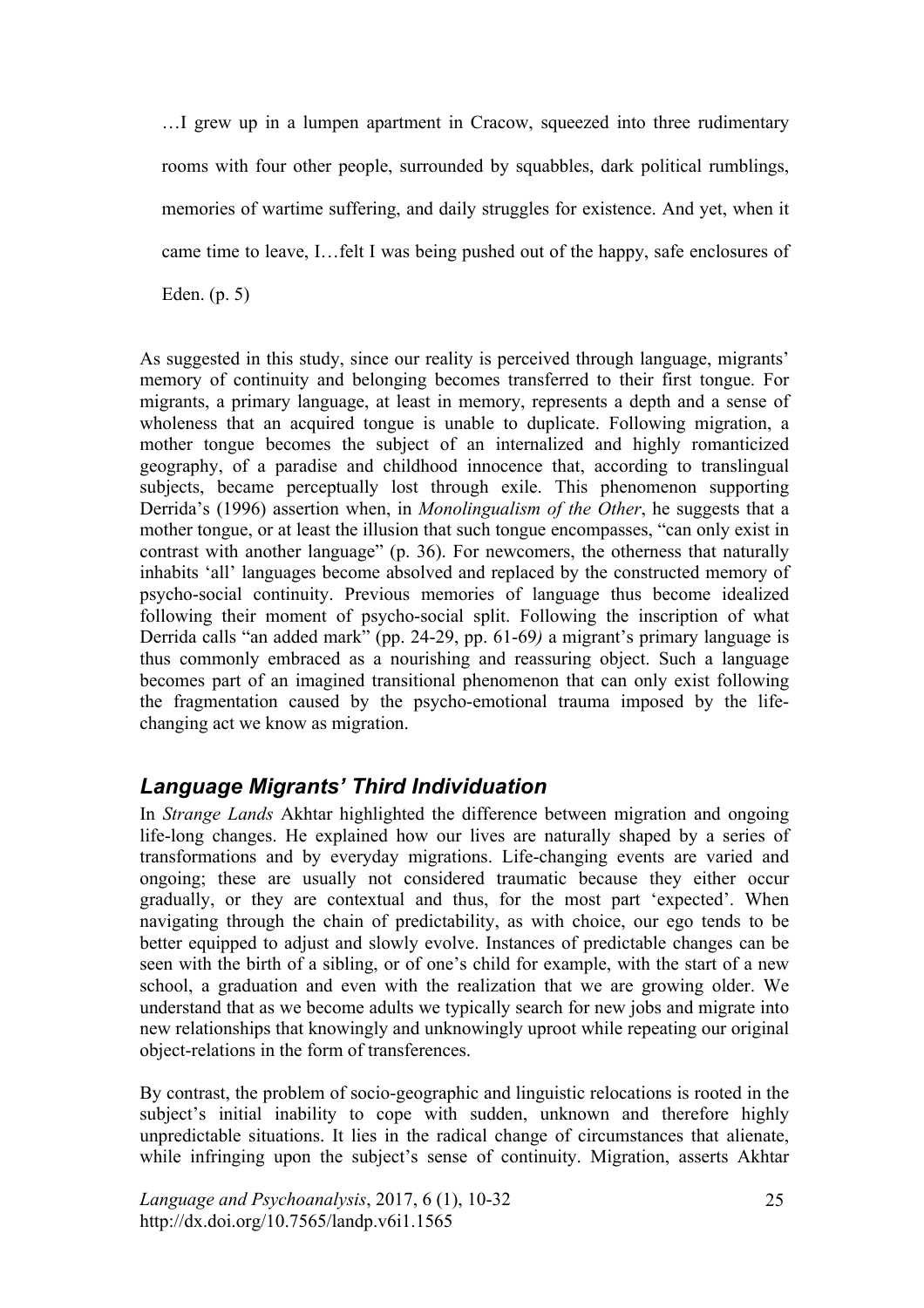…I grew up in a lumpen apartment in Cracow, squeezed into three rudimentary rooms with four other people, surrounded by squabbles, dark political rumblings, memories of wartime suffering, and daily struggles for existence. And yet, when it came time to leave, I…felt I was being pushed out of the happy, safe enclosures of

Eden. (p. 5)

As suggested in this study, since our reality is perceived through language, migrants' memory of continuity and belonging becomes transferred to their first tongue. For migrants, a primary language, at least in memory, represents a depth and a sense of wholeness that an acquired tongue is unable to duplicate. Following migration, a mother tongue becomes the subject of an internalized and highly romanticized geography, of a paradise and childhood innocence that, according to translingual subjects, became perceptually lost through exile. This phenomenon supporting Derrida's (1996) assertion when, in *Monolingualism of the Other*, he suggests that a mother tongue, or at least the illusion that such tongue encompasses, "can only exist in contrast with another language" (p. 36). For newcomers, the otherness that naturally inhabits 'all' languages become absolved and replaced by the constructed memory of psycho-social continuity. Previous memories of language thus become idealized following their moment of psycho-social split. Following the inscription of what Derrida calls "an added mark" (pp. 24-29, pp. 61-69*)* a migrant's primary language is thus commonly embraced as a nourishing and reassuring object. Such a language becomes part of an imagined transitional phenomenon that can only exist following the fragmentation caused by the psycho-emotional trauma imposed by the lifechanging act we know as migration.

# *Language Migrants' Third Individuation*

In *Strange Lands* Akhtar highlighted the difference between migration and ongoing life-long changes. He explained how our lives are naturally shaped by a series of transformations and by everyday migrations. Life-changing events are varied and ongoing; these are usually not considered traumatic because they either occur gradually, or they are contextual and thus, for the most part 'expected'. When navigating through the chain of predictability, as with choice, our ego tends to be better equipped to adjust and slowly evolve. Instances of predictable changes can be seen with the birth of a sibling, or of one's child for example, with the start of a new school, a graduation and even with the realization that we are growing older. We understand that as we become adults we typically search for new jobs and migrate into new relationships that knowingly and unknowingly uproot while repeating our original object-relations in the form of transferences.

By contrast, the problem of socio-geographic and linguistic relocations is rooted in the subject's initial inability to cope with sudden, unknown and therefore highly unpredictable situations. It lies in the radical change of circumstances that alienate, while infringing upon the subject's sense of continuity. Migration, asserts Akhtar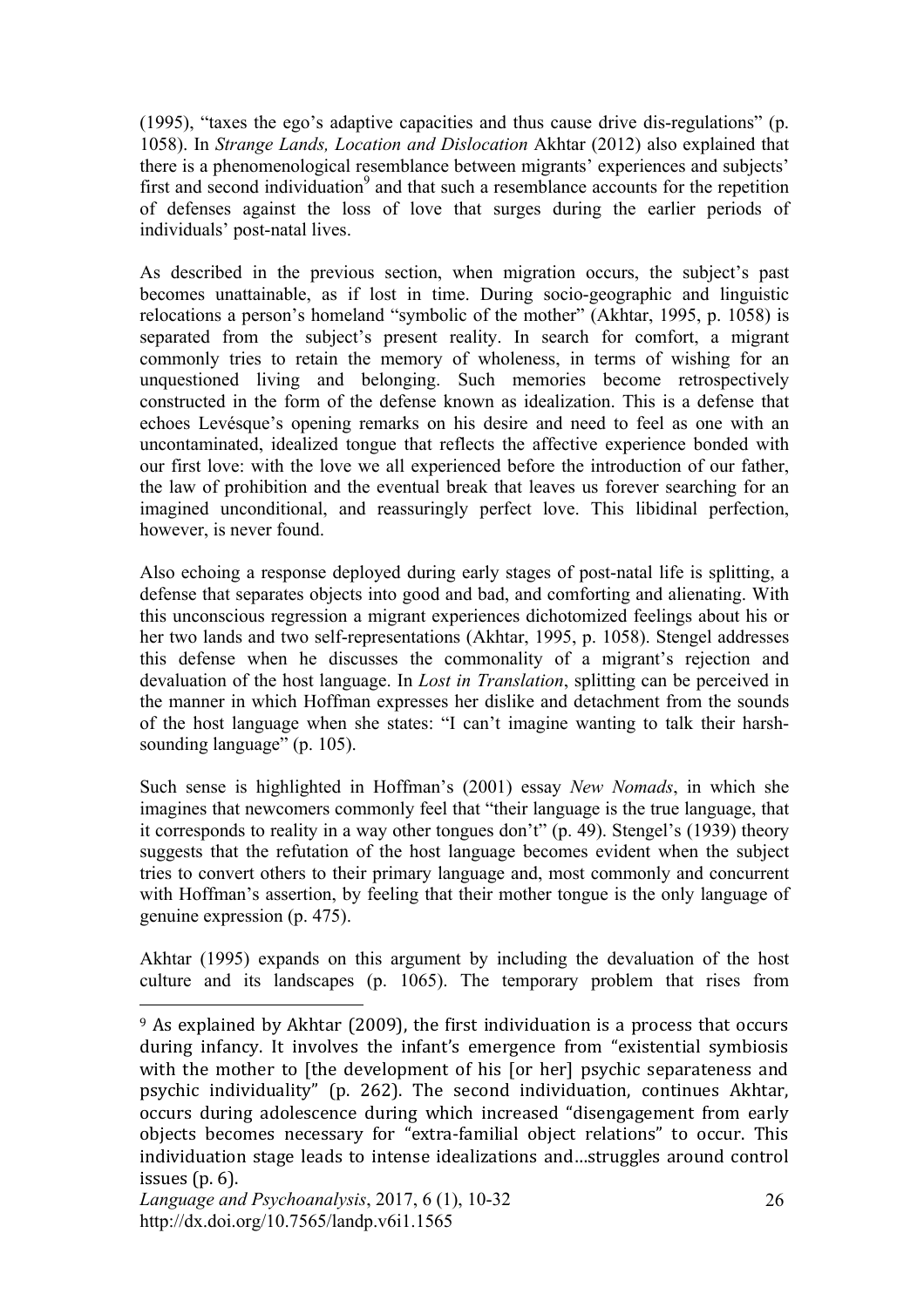(1995), "taxes the ego's adaptive capacities and thus cause drive dis-regulations" (p. 1058). In *Strange Lands, Location and Dislocation* Akhtar (2012) also explained that there is a phenomenological resemblance between migrants' experiences and subjects' first and second individuation<sup>9</sup> and that such a resemblance accounts for the repetition of defenses against the loss of love that surges during the earlier periods of individuals' post-natal lives.

As described in the previous section, when migration occurs, the subject's past becomes unattainable, as if lost in time. During socio-geographic and linguistic relocations a person's homeland "symbolic of the mother" (Akhtar, 1995, p. 1058) is separated from the subject's present reality. In search for comfort, a migrant commonly tries to retain the memory of wholeness, in terms of wishing for an unquestioned living and belonging. Such memories become retrospectively constructed in the form of the defense known as idealization. This is a defense that echoes Levésque's opening remarks on his desire and need to feel as one with an uncontaminated, idealized tongue that reflects the affective experience bonded with our first love: with the love we all experienced before the introduction of our father, the law of prohibition and the eventual break that leaves us forever searching for an imagined unconditional, and reassuringly perfect love. This libidinal perfection, however, is never found.

Also echoing a response deployed during early stages of post-natal life is splitting, a defense that separates objects into good and bad, and comforting and alienating. With this unconscious regression a migrant experiences dichotomized feelings about his or her two lands and two self-representations (Akhtar, 1995, p. 1058). Stengel addresses this defense when he discusses the commonality of a migrant's rejection and devaluation of the host language. In *Lost in Translation*, splitting can be perceived in the manner in which Hoffman expresses her dislike and detachment from the sounds of the host language when she states: "I can't imagine wanting to talk their harshsounding language" (p. 105).

Such sense is highlighted in Hoffman's (2001) essay *New Nomads*, in which she imagines that newcomers commonly feel that "their language is the true language, that it corresponds to reality in a way other tongues don't" (p. 49). Stengel's (1939) theory suggests that the refutation of the host language becomes evident when the subject tries to convert others to their primary language and, most commonly and concurrent with Hoffman's assertion, by feeling that their mother tongue is the only language of genuine expression (p. 475).

Akhtar (1995) expands on this argument by including the devaluation of the host culture and its landscapes (p. 1065). The temporary problem that rises from

 $9$  As explained by Akhtar (2009), the first individuation is a process that occurs during infancy. It involves the infant's emergence from "existential symbiosis" with the mother to [the development of his [or her] psychic separateness and psychic individuality" (p. 262). The second individuation, continues Akhtar, occurs during adolescence during which increased "disengagement from early objects becomes necessary for "extra-familial object relations" to occur. This individuation stage leads to intense idealizations and...struggles around control issues  $(p. 6)$ .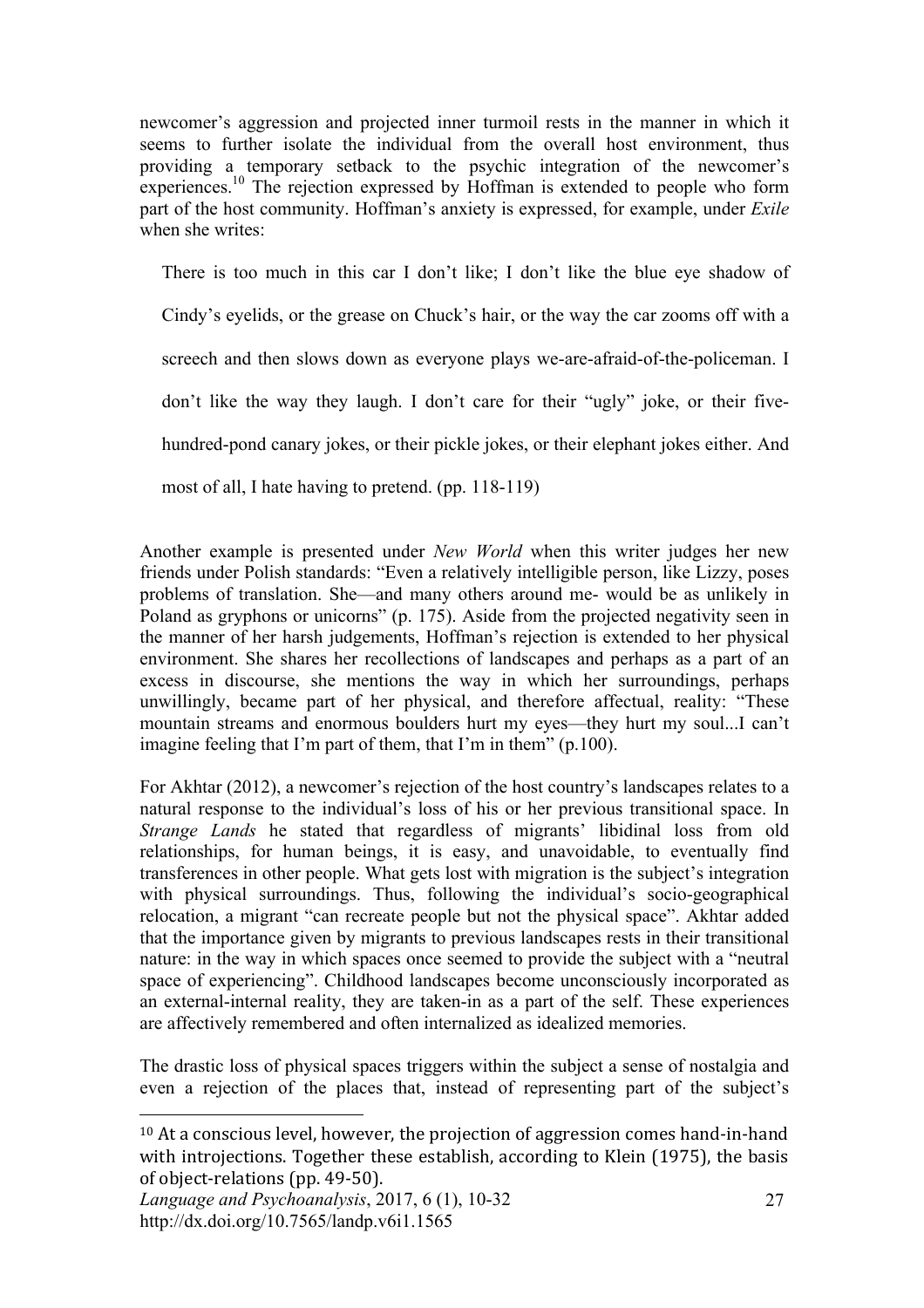newcomer's aggression and projected inner turmoil rests in the manner in which it seems to further isolate the individual from the overall host environment, thus providing a temporary setback to the psychic integration of the newcomer's experiences.<sup>10</sup> The rejection expressed by Hoffman is extended to people who form part of the host community. Hoffman's anxiety is expressed, for example, under *Exile* when she writes:

There is too much in this car I don't like; I don't like the blue eye shadow of

Cindy's eyelids, or the grease on Chuck's hair, or the way the car zooms off with a

screech and then slows down as everyone plays we-are-afraid-of-the-policeman. I

don't like the way they laugh. I don't care for their "ugly" joke, or their five-

hundred-pond canary jokes, or their pickle jokes, or their elephant jokes either. And

most of all, I hate having to pretend. (pp. 118-119)

Another example is presented under *New World* when this writer judges her new friends under Polish standards: "Even a relatively intelligible person, like Lizzy, poses problems of translation. She—and many others around me- would be as unlikely in Poland as gryphons or unicorns" (p. 175). Aside from the projected negativity seen in the manner of her harsh judgements, Hoffman's rejection is extended to her physical environment. She shares her recollections of landscapes and perhaps as a part of an excess in discourse, she mentions the way in which her surroundings, perhaps unwillingly, became part of her physical, and therefore affectual, reality: "These mountain streams and enormous boulders hurt my eyes—they hurt my soul...I can't imagine feeling that I'm part of them, that I'm in them" (p.100).

For Akhtar (2012), a newcomer's rejection of the host country's landscapes relates to a natural response to the individual's loss of his or her previous transitional space. In *Strange Lands* he stated that regardless of migrants' libidinal loss from old relationships, for human beings, it is easy, and unavoidable, to eventually find transferences in other people. What gets lost with migration is the subject's integration with physical surroundings. Thus, following the individual's socio-geographical relocation, a migrant "can recreate people but not the physical space". Akhtar added that the importance given by migrants to previous landscapes rests in their transitional nature: in the way in which spaces once seemed to provide the subject with a "neutral space of experiencing". Childhood landscapes become unconsciously incorporated as an external-internal reality, they are taken-in as a part of the self. These experiences are affectively remembered and often internalized as idealized memories.

The drastic loss of physical spaces triggers within the subject a sense of nostalgia and even a rejection of the places that, instead of representing part of the subject's

 $10$  At a conscious level, however, the projection of aggression comes hand-in-hand with introjections. Together these establish, according to Klein (1975), the basis of object-relations (pp. 49-50).

*Language and Psychoanalysis*, 2017, 6 (1), 10-32 http://dx.doi.org/10.7565/landp.v6i1.1565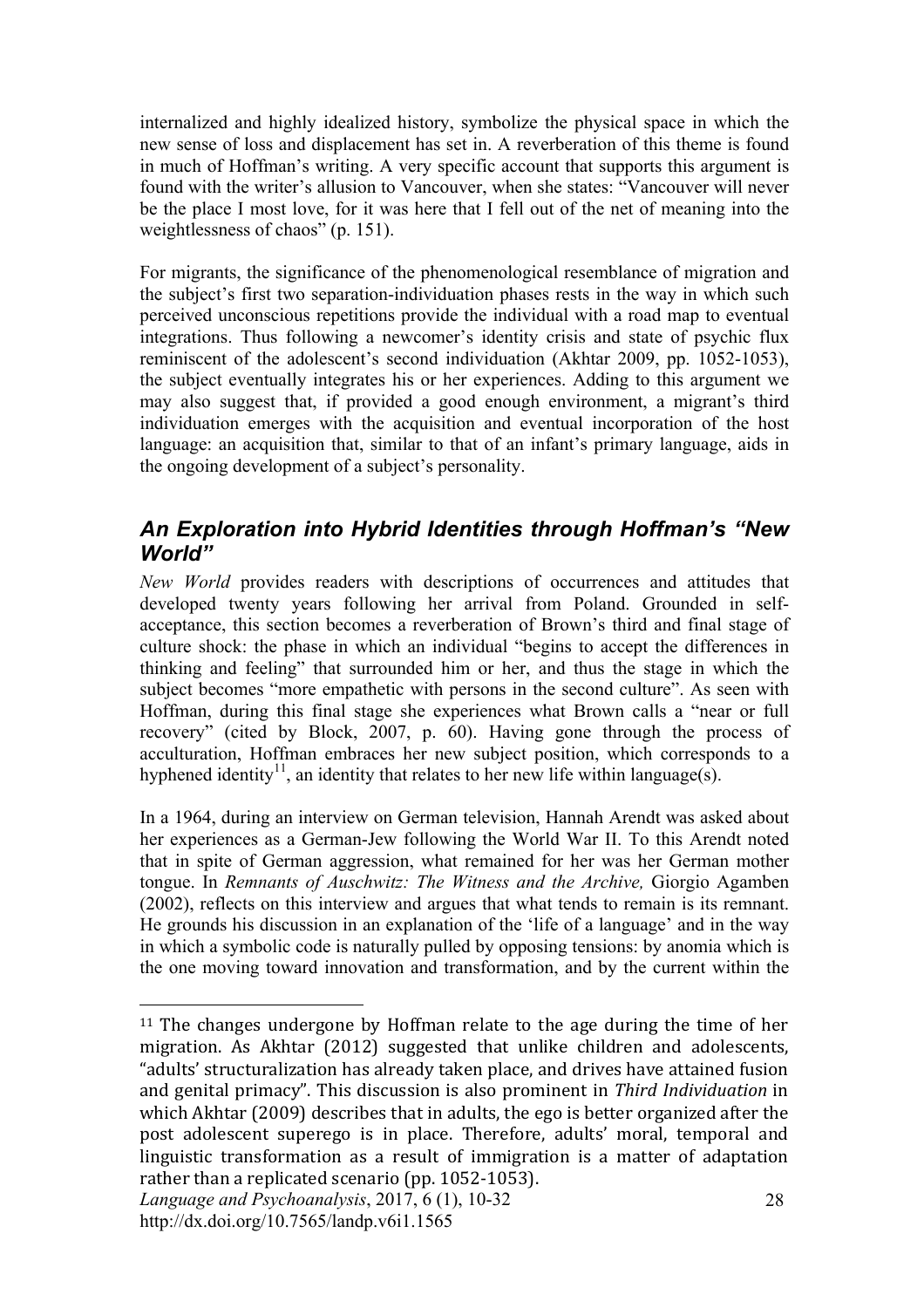internalized and highly idealized history, symbolize the physical space in which the new sense of loss and displacement has set in. A reverberation of this theme is found in much of Hoffman's writing. A very specific account that supports this argument is found with the writer's allusion to Vancouver, when she states: "Vancouver will never be the place I most love, for it was here that I fell out of the net of meaning into the weightlessness of chaos" (p. 151).

For migrants, the significance of the phenomenological resemblance of migration and the subject's first two separation-individuation phases rests in the way in which such perceived unconscious repetitions provide the individual with a road map to eventual integrations. Thus following a newcomer's identity crisis and state of psychic flux reminiscent of the adolescent's second individuation (Akhtar 2009, pp. 1052-1053), the subject eventually integrates his or her experiences. Adding to this argument we may also suggest that, if provided a good enough environment, a migrant's third individuation emerges with the acquisition and eventual incorporation of the host language: an acquisition that, similar to that of an infant's primary language, aids in the ongoing development of a subject's personality.

### *An Exploration into Hybrid Identities through Hoffman's "New World"*

*New World* provides readers with descriptions of occurrences and attitudes that developed twenty years following her arrival from Poland. Grounded in selfacceptance, this section becomes a reverberation of Brown's third and final stage of culture shock: the phase in which an individual "begins to accept the differences in thinking and feeling" that surrounded him or her, and thus the stage in which the subject becomes "more empathetic with persons in the second culture". As seen with Hoffman, during this final stage she experiences what Brown calls a "near or full recovery" (cited by Block, 2007, p. 60). Having gone through the process of acculturation, Hoffman embraces her new subject position, which corresponds to a hyphened identity<sup>11</sup>, an identity that relates to her new life within language(s).

In a 1964, during an interview on German television, Hannah Arendt was asked about her experiences as a German-Jew following the World War II. To this Arendt noted that in spite of German aggression, what remained for her was her German mother tongue. In *Remnants of Auschwitz: The Witness and the Archive,* Giorgio Agamben (2002), reflects on this interview and argues that what tends to remain is its remnant. He grounds his discussion in an explanation of the 'life of a language' and in the way in which a symbolic code is naturally pulled by opposing tensions: by anomia which is the one moving toward innovation and transformation, and by the current within the

 $\overline{a}$ <sup>11</sup> The changes undergone by Hoffman relate to the age during the time of her migration. As Akhtar (2012) suggested that unlike children and adolescents, "adults' structuralization has already taken place, and drives have attained fusion and genital primacy". This discussion is also prominent in *Third Individuation* in which Akhtar (2009) describes that in adults, the ego is better organized after the post adolescent superego is in place. Therefore, adults' moral, temporal and linguistic transformation as a result of immigration is a matter of adaptation rather than a replicated scenario (pp. 1052-1053).

*Language and Psychoanalysis*, 2017, 6 (1), 10-32 http://dx.doi.org/10.7565/landp.v6i1.1565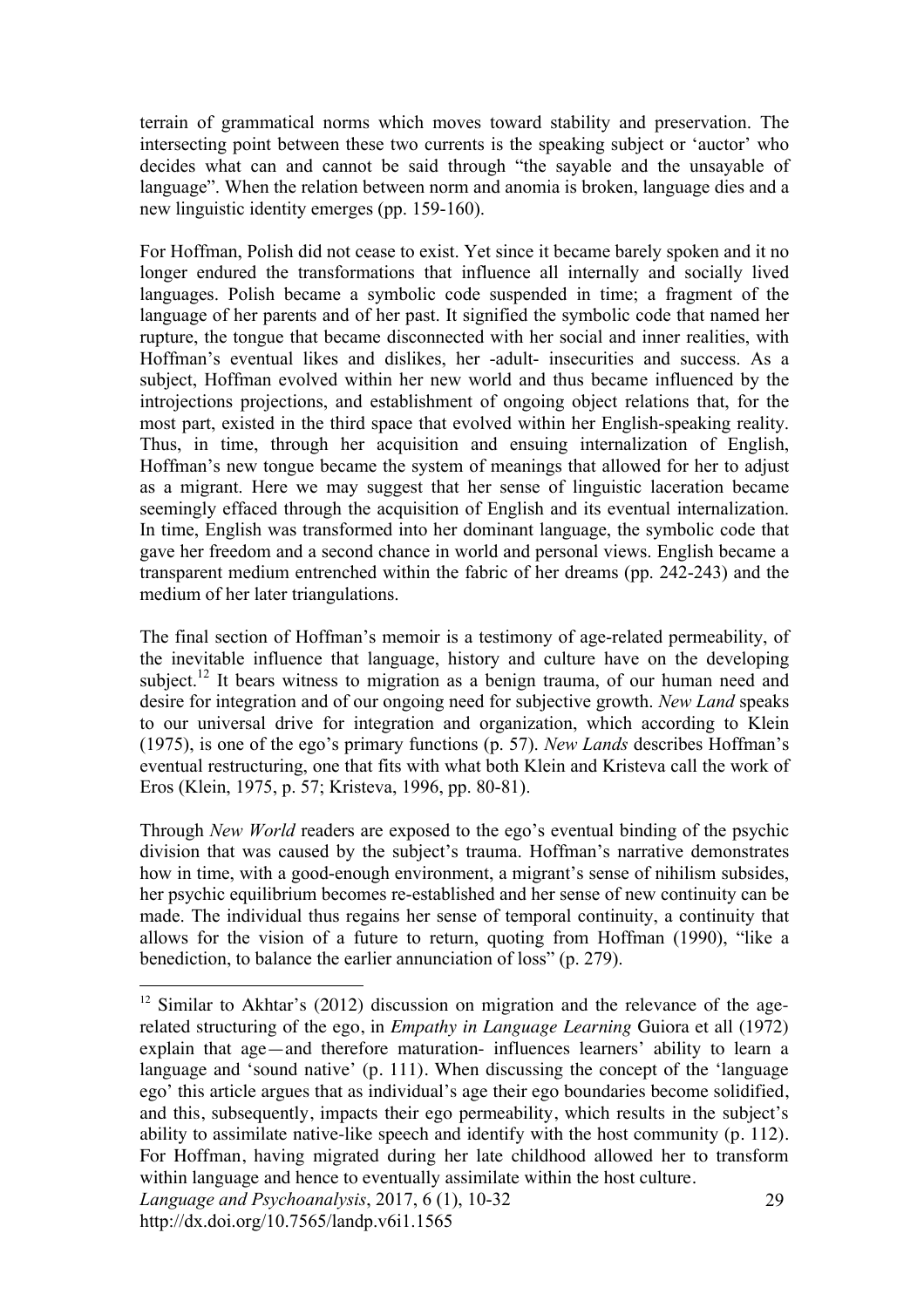terrain of grammatical norms which moves toward stability and preservation. The intersecting point between these two currents is the speaking subject or 'auctor' who decides what can and cannot be said through "the sayable and the unsayable of language". When the relation between norm and anomia is broken, language dies and a new linguistic identity emerges (pp. 159-160).

For Hoffman, Polish did not cease to exist. Yet since it became barely spoken and it no longer endured the transformations that influence all internally and socially lived languages. Polish became a symbolic code suspended in time; a fragment of the language of her parents and of her past. It signified the symbolic code that named her rupture, the tongue that became disconnected with her social and inner realities, with Hoffman's eventual likes and dislikes, her -adult- insecurities and success. As a subject, Hoffman evolved within her new world and thus became influenced by the introjections projections, and establishment of ongoing object relations that, for the most part, existed in the third space that evolved within her English-speaking reality. Thus, in time, through her acquisition and ensuing internalization of English, Hoffman's new tongue became the system of meanings that allowed for her to adjust as a migrant. Here we may suggest that her sense of linguistic laceration became seemingly effaced through the acquisition of English and its eventual internalization. In time, English was transformed into her dominant language, the symbolic code that gave her freedom and a second chance in world and personal views. English became a transparent medium entrenched within the fabric of her dreams (pp. 242-243) and the medium of her later triangulations.

The final section of Hoffman's memoir is a testimony of age-related permeability, of the inevitable influence that language, history and culture have on the developing subject.<sup>12</sup> It bears witness to migration as a benign trauma, of our human need and desire for integration and of our ongoing need for subjective growth. *New Land* speaks to our universal drive for integration and organization, which according to Klein (1975), is one of the ego's primary functions (p. 57). *New Lands* describes Hoffman's eventual restructuring, one that fits with what both Klein and Kristeva call the work of Eros (Klein, 1975, p. 57; Kristeva, 1996, pp. 80-81).

Through *New World* readers are exposed to the ego's eventual binding of the psychic division that was caused by the subject's trauma. Hoffman's narrative demonstrates how in time, with a good-enough environment, a migrant's sense of nihilism subsides, her psychic equilibrium becomes re-established and her sense of new continuity can be made. The individual thus regains her sense of temporal continuity, a continuity that allows for the vision of a future to return, quoting from Hoffman (1990), "like a benediction, to balance the earlier annunciation of loss" (p. 279).

 $12$  Similar to Akhtar's (2012) discussion on migration and the relevance of the agerelated structuring of the ego, in *Empathy in Language Learning* Guiora et all (1972) explain that age—and therefore maturation- influences learners' ability to learn a language and 'sound native' (p. 111). When discussing the concept of the 'language ego' this article argues that as individual's age their ego boundaries become solidified, and this, subsequently, impacts their ego permeability, which results in the subject's ability to assimilate native-like speech and identify with the host community (p. 112). For Hoffman, having migrated during her late childhood allowed her to transform within language and hence to eventually assimilate within the host culture.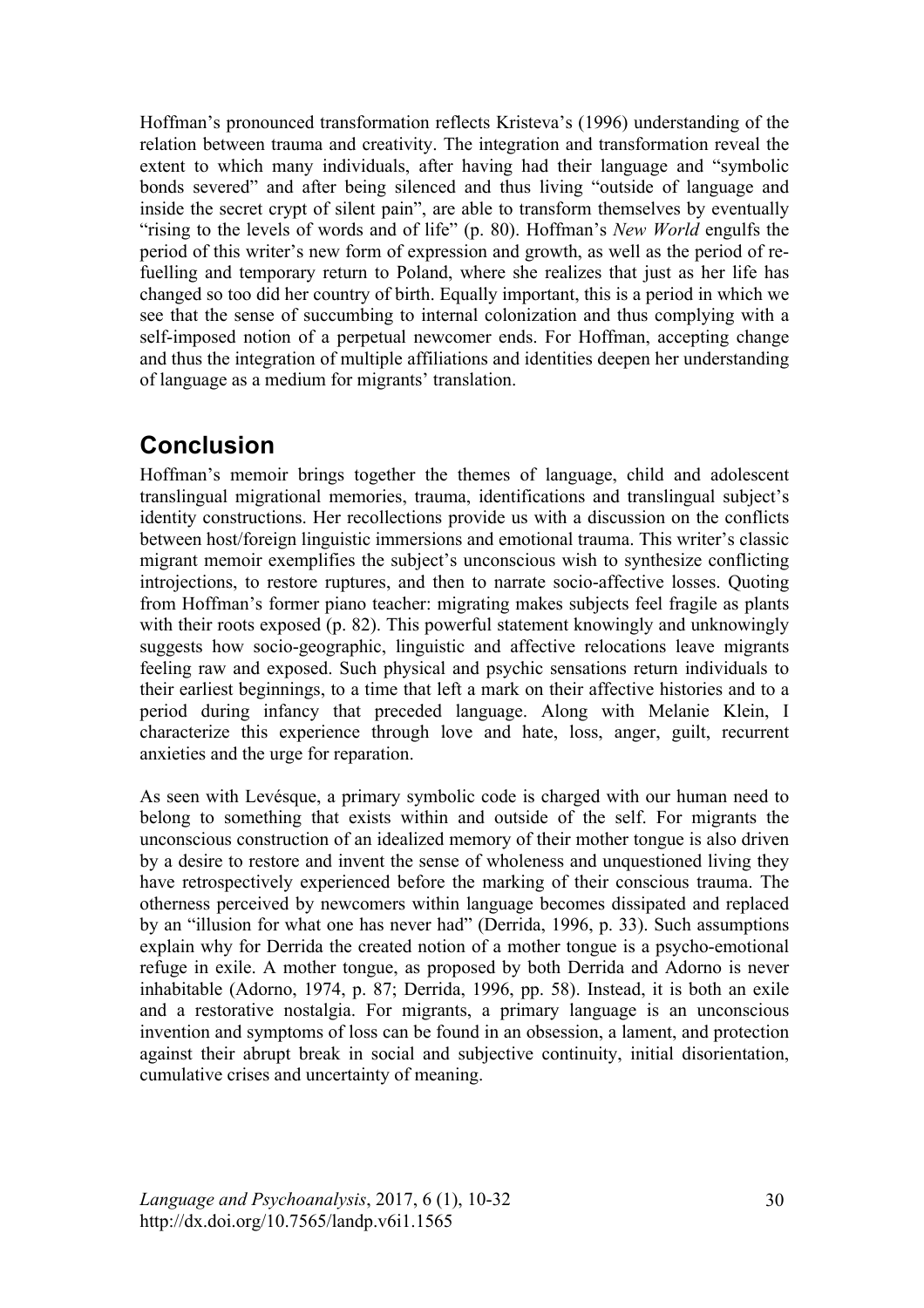Hoffman's pronounced transformation reflects Kristeva's (1996) understanding of the relation between trauma and creativity. The integration and transformation reveal the extent to which many individuals, after having had their language and "symbolic bonds severed" and after being silenced and thus living "outside of language and inside the secret crypt of silent pain", are able to transform themselves by eventually "rising to the levels of words and of life" (p. 80). Hoffman's *New World* engulfs the period of this writer's new form of expression and growth, as well as the period of refuelling and temporary return to Poland, where she realizes that just as her life has changed so too did her country of birth. Equally important, this is a period in which we see that the sense of succumbing to internal colonization and thus complying with a self-imposed notion of a perpetual newcomer ends. For Hoffman, accepting change and thus the integration of multiple affiliations and identities deepen her understanding of language as a medium for migrants' translation.

# **Conclusion**

Hoffman's memoir brings together the themes of language, child and adolescent translingual migrational memories, trauma, identifications and translingual subject's identity constructions. Her recollections provide us with a discussion on the conflicts between host/foreign linguistic immersions and emotional trauma. This writer's classic migrant memoir exemplifies the subject's unconscious wish to synthesize conflicting introjections, to restore ruptures, and then to narrate socio-affective losses. Quoting from Hoffman's former piano teacher: migrating makes subjects feel fragile as plants with their roots exposed (p. 82). This powerful statement knowingly and unknowingly suggests how socio-geographic, linguistic and affective relocations leave migrants feeling raw and exposed. Such physical and psychic sensations return individuals to their earliest beginnings, to a time that left a mark on their affective histories and to a period during infancy that preceded language. Along with Melanie Klein, I characterize this experience through love and hate, loss, anger, guilt, recurrent anxieties and the urge for reparation.

As seen with Levésque, a primary symbolic code is charged with our human need to belong to something that exists within and outside of the self. For migrants the unconscious construction of an idealized memory of their mother tongue is also driven by a desire to restore and invent the sense of wholeness and unquestioned living they have retrospectively experienced before the marking of their conscious trauma. The otherness perceived by newcomers within language becomes dissipated and replaced by an "illusion for what one has never had" (Derrida, 1996, p. 33). Such assumptions explain why for Derrida the created notion of a mother tongue is a psycho-emotional refuge in exile. A mother tongue, as proposed by both Derrida and Adorno is never inhabitable (Adorno, 1974, p. 87; Derrida, 1996, pp. 58). Instead, it is both an exile and a restorative nostalgia. For migrants, a primary language is an unconscious invention and symptoms of loss can be found in an obsession, a lament, and protection against their abrupt break in social and subjective continuity, initial disorientation, cumulative crises and uncertainty of meaning.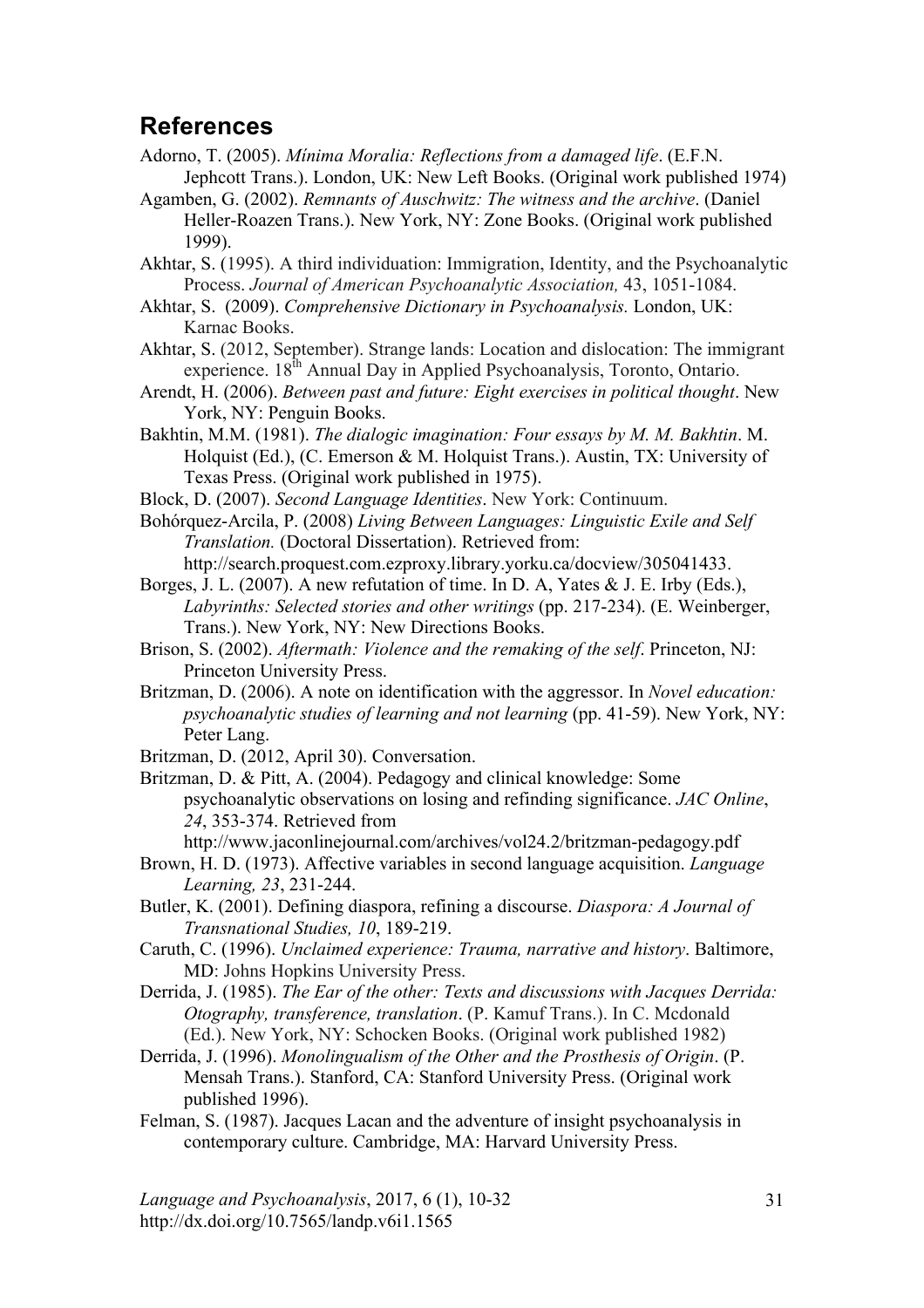# **References**

- Adorno, T. (2005). *Mínima Moralia: Reflections from a damaged life*. (E.F.N. Jephcott Trans.). London, UK: New Left Books. (Original work published 1974)
- Agamben, G. (2002). *Remnants of Auschwitz: The witness and the archive*. (Daniel Heller-Roazen Trans.). New York, NY: Zone Books. (Original work published 1999).

Akhtar, S. (1995). A third individuation: Immigration, Identity, and the Psychoanalytic Process. *Journal of American Psychoanalytic Association,* 43, 1051-1084.

Akhtar, S. (2009). *Comprehensive Dictionary in Psychoanalysis.* London, UK: Karnac Books.

Akhtar, S. (2012, September). Strange lands: Location and dislocation: The immigrant experience. 18<sup>th</sup> Annual Day in Applied Psychoanalysis, Toronto, Ontario.

Arendt, H. (2006). *Between past and future: Eight exercises in political thought*. New York, NY: Penguin Books.

Bakhtin, M.M. (1981). *The dialogic imagination: Four essays by M. M. Bakhtin*. M. Holquist (Ed.), (C. Emerson & M. Holquist Trans.). Austin, TX: University of Texas Press. (Original work published in 1975).

Block, D. (2007). *Second Language Identities*. New York: Continuum.

Bohórquez-Arcila, P. (2008) *Living Between Languages: Linguistic Exile and Self Translation.* (Doctoral Dissertation). Retrieved from:

http://search.proquest.com.ezproxy.library.yorku.ca/docview/305041433.

Borges, J. L. (2007). A new refutation of time. In D. A, Yates & J. E. Irby (Eds.), *Labyrinths: Selected stories and other writings* (pp. 217-234). (E. Weinberger, Trans.). New York, NY: New Directions Books.

Brison, S. (2002). *Aftermath: Violence and the remaking of the self*. Princeton, NJ: Princeton University Press.

Britzman, D. (2006). A note on identification with the aggressor. In *Novel education: psychoanalytic studies of learning and not learning (pp. 41-59). New York, NY:* Peter Lang.

Britzman, D. (2012, April 30). Conversation.

Britzman, D. & Pitt, A. (2004). Pedagogy and clinical knowledge: Some psychoanalytic observations on losing and refinding significance. *JAC Online*, *24*, 353-374. Retrieved from

http://www.jaconlinejournal.com/archives/vol24.2/britzman-pedagogy.pdf

Brown, H. D. (1973). Affective variables in second language acquisition. *Language Learning, 23*, 231-244.

Butler, K. (2001). Defining diaspora, refining a discourse. *Diaspora: A Journal of Transnational Studies, 10*, 189-219.

Caruth, C. (1996). *Unclaimed experience: Trauma, narrative and history*. Baltimore, MD: Johns Hopkins University Press.

Derrida, J. (1985). *The Ear of the other: Texts and discussions with Jacques Derrida: Otography, transference, translation*. (P. Kamuf Trans.). In C. Mcdonald (Ed.). New York, NY: Schocken Books. (Original work published 1982)

Derrida, J. (1996). *Monolingualism of the Other and the Prosthesis of Origin*. (P. Mensah Trans.). Stanford, CA: Stanford University Press. (Original work published 1996).

Felman, S. (1987). Jacques Lacan and the adventure of insight psychoanalysis in contemporary culture. Cambridge, MA: Harvard University Press.